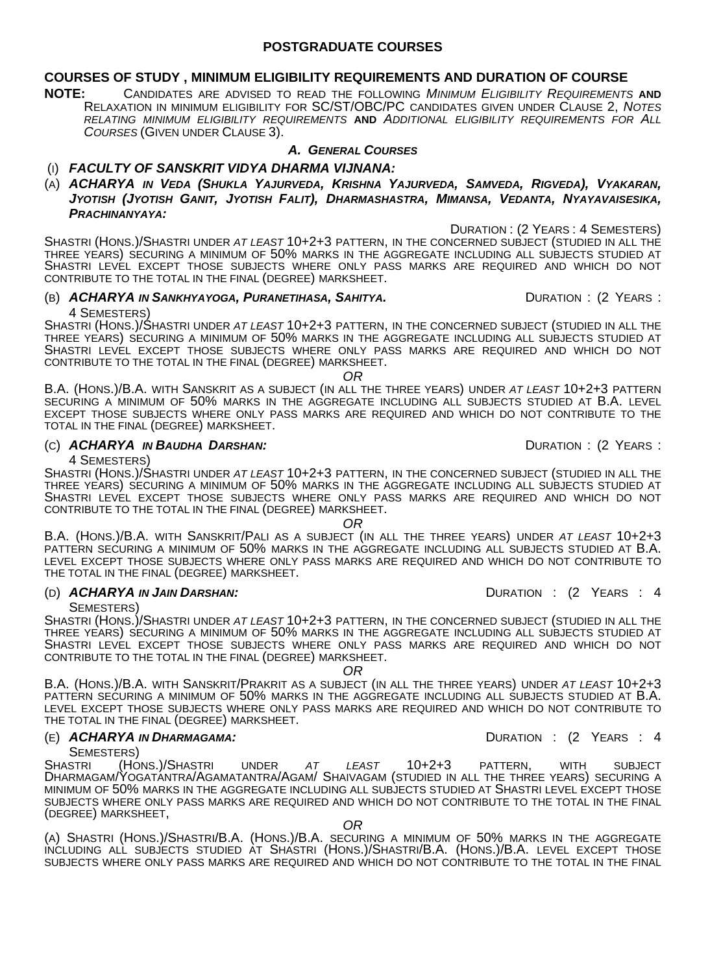#### **POSTGRADUATE COURSES**

#### **COURSES OF STUDY , MINIMUM ELIGIBILITY REQUIREMENTS AND DURATION OF COURSE**

**NOTE:** CANDIDATES ARE ADVISED TO READ THE FOLLOWING *MINIMUM ELIGIBILITY REQUIREMENTS* **AND**  RELAXATION IN MINIMUM ELIGIBILITY FOR SC/ST/OBC/PC CANDIDATES GIVEN UNDER CLAUSE 2, *NOTES RELATING MINIMUM ELIGIBILITY REQUIREMENTS* **AND** *ADDITIONAL ELIGIBILITY REQUIREMENTS FOR ALL COURSES* (GIVEN UNDER CLAUSE 3).

#### *A. GENERAL COURSES*

#### (I) *FACULTY OF SANSKRIT VIDYA DHARMA VIJNANA:*

(A) *ACHARYA IN VEDA (SHUKLA YAJURVEDA, KRISHNA YAJURVEDA, SAMVEDA, RIGVEDA), VYAKARAN, JYOTISH (JYOTISH GANIT, JYOTISH FALIT), DHARMASHASTRA, MIMANSA, VEDANTA, NYAYAVAISESIKA, PRACHINANYAYA:*

DURATION : (2 YEARS : 4 SEMESTERS)

SHASTRI (HONS.)/SHASTRI UNDER *AT LEAST* 10+2+3 PATTERN, IN THE CONCERNED SUBJECT (STUDIED IN ALL THE THREE YEARS) SECURING A MINIMUM OF 50% MARKS IN THE AGGREGATE INCLUDING ALL SUBJECTS STUDIED AT SHASTRI LEVEL EXCEPT THOSE SUBJECTS WHERE ONLY PASS MARKS ARE REQUIRED AND WHICH DO NOT CONTRIBUTE TO THE TOTAL IN THE FINAL (DEGREE) MARKSHEET.

#### (B) *ACHARYA IN SANKHYAYOGA, PURANETIHASA, SAHITYA.* DURATION : (2 YEARS : 4 SEMESTERS)

SHASTRI (HONS.)/SHASTRI UNDER *AT LEAST* 10+2+3 PATTERN, IN THE CONCERNED SUBJECT (STUDIED IN ALL THE THREE YEARS) SECURING A MINIMUM OF 50% MARKS IN THE AGGREGATE INCLUDING ALL SUBJECTS STUDIED AT SHASTRI LEVÉL EXCEPT THOSE SUBJECTS WHERE ONLY PASS MARKS ARE REQUIRED AND WHICH DO NOT CONTRIBUTE TO THE TOTAL IN THE FINAL (DEGREE) MARKSHEET.

*OR*

B.A. (HONS.)/B.A. WITH SANSKRIT AS A SUBJECT (IN ALL THE THREE YEARS) UNDER *AT LEAST* 10+2+3 PATTERN SECURING A MINIMUM OF 50% MARKS IN THE AGGREGATE INCLUDING ALL SUBJECTS STUDIED AT B.A. LEVEL EXCEPT THOSE SUBJECTS WHERE ONLY PASS MARKS ARE REQUIRED AND WHICH DO NOT CONTRIBUTE TO THE TOTAL IN THE FINAL (DEGREE) MARKSHEET.

#### (C) **ACHARYA IN BAUDHA DARSHAN:** DURATION : (2 YEARS :

4 SEMESTERS)

SHASTRI (HONS.)/SHASTRI UNDER *AT LEAST* 10+2+3 PATTERN, IN THE CONCERNED SUBJECT (STUDIED IN ALL THE THREE YEARS) SECURING A MINIMUM OF 50% MARKS IN THE AGGREGATE INCLUDING ALL SUBJECTS STUDIED AT SHASTRI LEVEL EXCEPT THOSE SUBJECTS WHERE ONLY PASS MARKS ARE REQUIRED AND WHICH DO NOT CONTRIBUTE TO THE TOTAL IN THE FINAL (DEGREE) MARKSHEET.

*OR*

B.A. (HONS.)/B.A. WITH SANSKRIT/PALI AS A SUBJECT (IN ALL THE THREE YEARS) UNDER *AT LEAST* 10+2+3 PATTERN SECURING A MINIMUM OF 50% MARKS IN THE AGGREGATE INCLUDING ALL SUBJECTS STUDIED AT B.A. LEVEL EXCEPT THOSE SUBJECTS WHERE ONLY PASS MARKS ARE REQUIRED AND WHICH DO NOT CONTRIBUTE TO THE TOTAL IN THE FINAL (DEGREE) MARKSHEET.

#### (D) *ACHARYA IN JAIN DARSHAN:* DURATION : (2 YEARS : 4

SEMESTERS)

SHASTRI (HONS.)/SHASTRI UNDER *AT LEAST* 10+2+3 PATTERN, IN THE CONCERNED SUBJECT (STUDIED IN ALL THE THREE YEARS) SECURING A MINIMUM OF 50% MARKS IN THE AGGREGATE INCLUDING ALL SUBJECTS STUDIED AT SHASTRI LEVEL EXCEPT THOSE SUBJECTS WHERE ONLY PASS MARKS ARE REQUIRED AND WHICH DO NOT CONTRIBUTE TO THE TOTAL IN THE FINAL (DEGREE) MARKSHEET.

*OR*

B.A. (HONS.)/B.A. WITH SANSKRIT/PRAKRIT AS A SUBJECT (IN ALL THE THREE YEARS) UNDER *AT LEAST* 10+2+3 PATTERN SECURING A MINIMUM OF 50% MARKS IN THE AGGREGATE INCLUDING ALL SUBJECTS STUDIED AT B.A. LEVEL EXCEPT THOSE SUBJECTS WHERE ONLY PASS MARKS ARE REQUIRED AND WHICH DO NOT CONTRIBUTE TO THE TOTAL IN THE FINAL (DEGREE) MARKSHEET.

#### (E) *ACHARYA IN DHARMAGAMA:* DURATION : (2 YEARS : 4

SEMESTERS)

SHASTRI (HONS.)/SHASTRI UNDER *AT LEAST* 10+2+3 PATTERN, WITH SUBJECT DHARMAGAM/YOGATANTRA/AGAMATANTRA/AGAM/ SHAIVAGAM (STUDIED IN ALL THE THREE YEARS) SECURING A MINIMUM OF 50% MARKS IN THE AGGREGATE INCLUDING ALL SUBJECTS STUDIED AT SHASTRI LEVEL EXCEPT THOSE SUBJECTS WHERE ONLY PASS MARKS ARE REQUIRED AND WHICH DO NOT CONTRIBUTE TO THE TOTAL IN THE FINAL (DEGREE) MARKSHEET, *OR* 

(A) SHASTRI (HONS.)/SHASTRI/B.A. (HONS.)/B.A. SECURING A MINIMUM OF 50% MARKS IN THE AGGREGATE INCLUDING ALL SUBJECTS STUDIED AT SHASTRI (HONS.)/SHASTRI/B.A. (HONS.)/B.A. LEVEL EXCEPT THOSE SUBJECTS WHERE ONLY PASS MARKS ARE REQUIRED AND WHICH DO NOT CONTRIBUTE TO THE TOTAL IN THE FINAL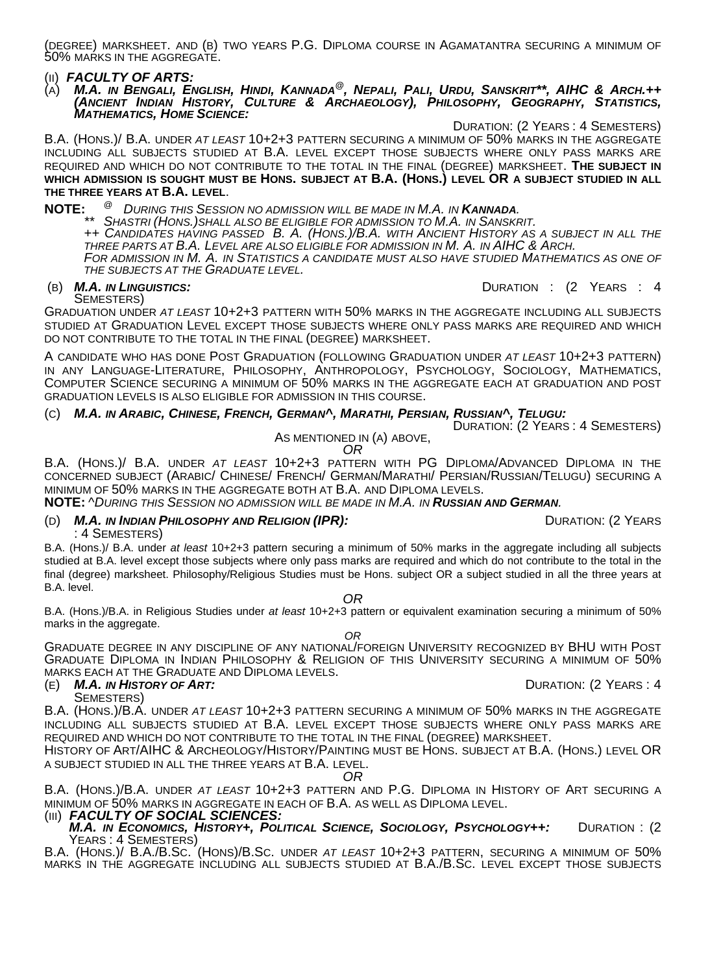(DEGREE) MARKSHEET. AND (B) TWO YEARS P.G. DIPLOMA COURSE IN AGAMATANTRA SECURING A MINIMUM OF 50% MARKS IN THE AGGREGATE.

(II) *FACULTY OF ARTS:*

(A) *M.A. IN BENGALI, ENGLISH, HINDI, KANNADA@, NEPALI, PALI, URDU, SANSKRIT\*\*, AIHC & ARCH.++ (ANCIENT INDIAN HISTORY, CULTURE & ARCHAEOLOGY), PHILOSOPHY, GEOGRAPHY, STATISTICS, MATHEMATICS, HOME SCIENCE:* 

DURATION: (2 YEARS : 4 SEMESTERS)

B.A. (HONS.)/ B.A. UNDER *AT LEAST* 10+2+3 PATTERN SECURING A MINIMUM OF 50% MARKS IN THE AGGREGATE INCLUDING ALL SUBJECTS STUDIED AT B.A. LEVEL EXCEPT THOSE SUBJECTS WHERE ONLY PASS MARKS ARE REQUIRED AND WHICH DO NOT CONTRIBUTE TO THE TOTAL IN THE FINAL (DEGREE) MARKSHEET. **THE SUBJECT IN WHICH ADMISSION IS SOUGHT MUST BE HONS. SUBJECT AT B.A. (HONS.) LEVEL OR A SUBJECT STUDIED IN ALL THE THREE YEARS AT B.A. LEVEL**.

**NOTE:** <sup>@</sup> DURING THIS SESSION NO ADMISSION WILL BE MADE IN M.A. IN **KANNADA.**<br>\*\* SHASTRI (HONS.)SHALL ALSO BE ELIGIBLE FOR ADMISSION TO M.A. IN SANSKRIT.<br>++ CANDIDATES HAVING PASSED B. A. (HONS.)/B.A. WITH ANCIENT HISTOR

FOR ADMISSION IN M. A. IN STATISTICS A CANDIDATE MUST ALSO HAVE STUDIED MATHEMATICS AS ONE OF *THE SUBJECTS AT THE GRADUATE LEVEL.*

(B) *M.A. IN LINGUISTICS:*DURATION : (2 YEARS : 4

SEMESTERS)

GRADUATION UNDER *AT LEAST* 10+2+3 PATTERN WITH 50% MARKS IN THE AGGREGATE INCLUDING ALL SUBJECTS STUDIED AT GRADUATION LEVEL EXCEPT THOSE SUBJECTS WHERE ONLY PASS MARKS ARE REQUIRED AND WHICH DO NOT CONTRIBUTE TO THE TOTAL IN THE FINAL (DEGREE) MARKSHEET.

A CANDIDATE WHO HAS DONE POST GRADUATION (FOLLOWING GRADUATION UNDER *AT LEAST* 10+2+3 PATTERN) IN ANY LANGUAGE-LITERATURE, PHILOSOPHY, ANTHROPOLOGY, PSYCHOLOGY, SOCIOLOGY, MATHEMATICS, COMPUTER SCIENCE SECURING A MINIMUM OF 50% MARKS IN THE AGGREGATE EACH AT GRADUATION AND POST GRADUATION LEVELS IS ALSO ELIGIBLE FOR ADMISSION IN THIS COURSE.

#### (C) *M.A. IN ARABIC, CHINESE, FRENCH, GERMAN^, MARATHI, PERSIAN, RUSSIAN^, TELUGU:*

DURATION: (2 YEARS : 4 SEMESTERS) AS MENTIONED IN (A) ABOVE, *OR* 

B.A. (HONS.)/ B.A. UNDER *AT LEAST* 10+2+3 PATTERN WITH PG DIPLOMA/ADVANCED DIPLOMA IN THE CONCERNED SUBJECT (ARABIC/ CHINESE/ FRENCH/ GERMAN/MARATHI/ PERSIAN/RUSSIAN/TELUGU) SECURING A MINIMUM OF 50% MARKS IN THE AGGREGATE BOTH AT B.A. AND DIPLOMA LEVELS.

#### **NOTE:** ^*DURING THIS SESSION NO ADMISSION WILL BE MADE IN M.A. IN RUSSIAN AND GERMAN.*

#### (D) **M.A. IN INDIAN PHILOSOPHY AND RELIGION (IPR):** DURATION: (2 YEARS : 4 SEMESTERS)

B.A. (Hons.)/ B.A. under *at least* 10+2+3 pattern securing a minimum of 50% marks in the aggregate including all subjects studied at B.A. level except those subjects where only pass marks are required and which do not contribute to the total in the final (degree) marksheet. Philosophy/Religious Studies must be Hons. subject OR a subject studied in all the three years at B.A. level.

*OR*

B.A. (Hons.)/B.A. in Religious Studies under *at least* 10+2+3 pattern or equivalent examination securing a minimum of 50% marks in the aggregate.

*OR*

GRADUATE DEGREE IN ANY DISCIPLINE OF ANY NATIONAL/FOREIGN UNIVERSITY RECOGNIZED BY BHU WITH POST GRADUATE DIPLOMA IN INDIAN PHILOSOPHY & RELIGION OF THIS UNIVERSITY SECURING A MINIMUM OF 50% MARKS EACH AT THE GRADUATE AND DIPLOMA LEVELS. (E) *M.A. IN HISTORY OF ART:* DURATION: (2 YEARS : 4

SEMESTERS)

B.A. (HONS.)/B.A. UNDER *AT LEAST* 10+2+3 PATTERN SECURING A MINIMUM OF 50% MARKS IN THE AGGREGATE INCLUDING ALL SUBJECTS STUDIED AT B.A. LEVEL EXCEPT THOSE SUBJECTS WHERE ONLY PASS MARKS ARE

REQUIRED AND WHICH DO NOT CONTRIBUTE TO THE TOTAL IN THE FINAL (DEGREE) MARKSHEET.<br>HISTORY OF ART/AIHC & ARCHEOLOGY/HISTORY/PAINTING MUST BE HONS. SUBJECT AT B.A. (HONS.) LEVEL OR A SUBJECT STUDIED IN ALL THE THREE YEARS AT B.A. LEVEL. *OR*

B.A. (HONS.)/B.A. UNDER *AT LEAST* 10+2+3 PATTERN AND P.G. DIPLOMA IN HISTORY OF ART SECURING A MINIMUM OF 50% MARKS IN AGGREGATE IN EACH OF B.A. AS WELL AS DIPLOMA LEVEL.<br>(III) *FACULTY OF SOCIAL SCIENCES:*<br>*M.A. IN ECONOMICS, HISTORY+, POLITICAL SCIENCE, SOCIOLOGY, PSYCHOLOGY++:* 

*M.A. IN ECONOMICS, HISTORY+, POLITICAL SCIENCE, SOCIOLOGY, PSYCHOLOGY++:* DURATION : (2 YEARS : 4 SEMESTERS) B.A. (HONS.)/ B.A./B.SC. (HONS)/B.SC. UNDER *AT LEAST* 10+2+3 PATTERN, SECURING A MINIMUM OF 50%

MARKS IN THE AGGREGATE INCLUDING ALL SUBJECTS STUDIED AT B.A./B.SC. LEVEL EXCEPT THOSE SUBJECTS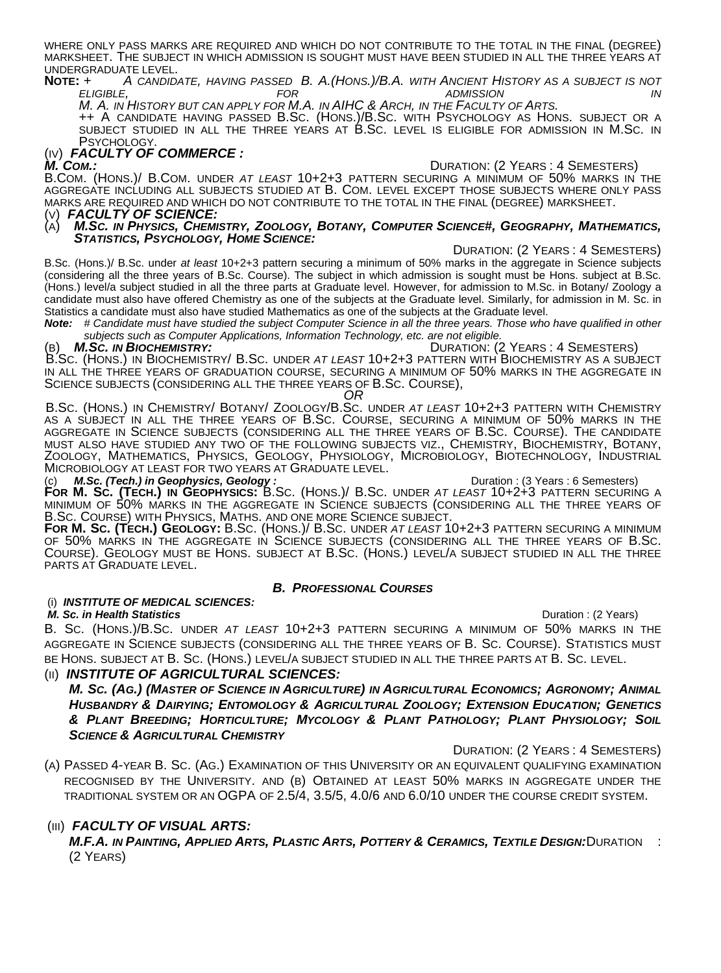WHERE ONLY PASS MARKS ARE REQUIRED AND WHICH DO NOT CONTRIBUTE TO THE TOTAL IN THE FINAL (DEGREE) MARKSHEET. THE SUBJECT IN WHICH ADMISSION IS SOUGHT MUST HAVE BEEN STUDIED IN ALL THE THREE YEARS AT UNDERGRADUATE LEVEL. **NOTE:** *+ A CANDIDATE, HAVING PASSED B. A.(HONS.)/B.A. WITH ANCIENT HISTORY AS A SUBJECT IS NOT* 

# *ELIGIBLE, FOR ADMISSION IN*

**++ A CANDIDATE HAVING PASSED B.SC. (HONS.)/B.SC. WITH PSYCHOLOGY AS HONS. SUBJECT OR A** SUBJECT STUDIED IN ALL THE THREE YEARS AT B.SC. LEVEL IS ELIGIBLE FOR ADMISSION IN M.SC. IN<br>PSYCHOLOGY.

## (IV) **FACULTY OF COMMERCE :**<br>M. Com.:

*M. COM.:* DURATION: (2 YEARS : 4 SEMESTERS) B.COM. (HONS.)/ B.COM. UNDER *AT LEAST* 10+2+3 PATTERN SECURING A MINIMUM OF 50% MARKS IN THE AGGREGATE INCLUDING ALL SUBJECTS STUDIED AT B. COM. LEVEL EXCEPT THOSE SUBJECTS WHERE ONLY PASS MARKS ARE REQUIRED AND WHICH DO NOT CONTRIBUTE TO THE TOTAL IN THE FINAL (DEGREE) MARKSHEET.<br>(V) **FACULTY OF SCIENCE:**<br>(A) **M.Sc. in Physics, Chemistry, Zoology, Botany, Computer Science#, Geography, Mathe** 

(A) *M.SC. IN PHYSICS, CHEMISTRY, ZOOLOGY, BOTANY, COMPUTER SCIENCE#, GEOGRAPHY, MATHEMATICS, STATISTICS, PSYCHOLOGY, HOME SCIENCE:* DURATION: (2 YEARS : 4 SEMESTERS)

B.Sc. (Hons.)/ B.Sc. under *at least* 10+2+3 pattern securing a minimum of 50% marks in the aggregate in Science subjects (considering all the three years of B.Sc. Course). The subject in which admission is sought must be Hons. subject at B.Sc. (Hons.) level/a subject studied in all the three parts at Graduate level. However, for admission to M.Sc. in Botany/ Zoology a candidate must also have offered Chemistry as one of the subjects at the Graduate level. Similarly, for admission in M. Sc. in Statistics a candidate must also have studied Mathematics as one of the subjects at the Graduate level.

*Note: # Candidate must have studied the subject Computer Science in all the three years. Those who have qualified in other subjects such as Computer Applications, Information Technology, etc. are not eligible.* 

### (B) *M.SC. IN BIOCHEMISTRY:* DURATION: (2 YEARS : 4 SEMESTERS) B.SC. (HONS.) IN BIOCHEMISTRY/ B.SC. UNDER *AT LEAST* 10+2+3 PATTERN WITH BIOCHEMISTRY AS A SUBJECT IN ALL THE THREE YEARS OF GRADUATION COURSE, SECURING A MINIMUM OF 50% MARKS IN THE AGGREGATE IN SCIENCE SUBJECTS (CONSIDERING ALL THE THREE YEARS OF B.SC. COURSE), *OR*

B.SC. (HONS.) IN CHEMISTRY/ BOTANY/ ZOOLOGY/B.SC. UNDER *AT LEAST* 10+2+3 PATTERN WITH CHEMISTRY AS A SUBJECT IN ALL THE THREE YEARS OF B.SC. COURSE, SECURING A MINIMUM OF 50% MARKS IN THE AGGREGATE IN SCIENCE SUBJECTS (CONSIDERING ALL THE THREE YEARS OF B.SC. COURSE). THE CANDIDATE MUST ALSO HAVE STUDIED ANY TWO OF THE FOLLOWING SUBJECTS VIZ., CHEMISTRY, BIOCHÉMISTRY, BOTANY,<br>ZOOLOGY, MATHEMATICS, PHYSICS, GEOLOGY, PHYSIOLOGY, MICROBIOLOGY, BIOTECHNOLOGY, INDUSTRIAL<br>MICROBIOLOGY AT LEAST FOR TWO YEAR MICROBIOLOGY AT LEAST FOR TWO YEARS AT GRADUATE LEVEL.<br>(c) *M.Sc. (Tech.) in Geophysics, Geology :* **D**uration : (3 Years : 6 Semesters)

**FOR M. SC. (TECH.) IN GEOPHYSICS:** B.SC. (HONS.)/ B.SC. UNDER *AT LEAST* 10+2+3 PATTERN SECURING A MINIMUM OF 50% MARKS IN THE AGGREGATE IN SCIENCE SUBJECTS (CONSIDERING ALL THE THREE YEARS OF

B.SC. COURSE) WITH PHYSICS, MATHS. AND ONE MORE SCIENCE SUBJECT.<br>**FOR M. SC. (TECH.) GEOLOGY:** B.SC. (HONS.)/ B.SC. UNDER *AT LEAST* 10+2+3 PATTERN SECURING A MINIMUM<br>OF 50% MARKS IN THE AGGREGATE IN SCIENCE SUBJECTS (CONS COURSE). GEOLOGY MUST BE HONS. SUBJECT AT B.SC. (HONS.) LEVEL/A SUBJECT STUDIED IN ALL THE THREE PARTS AT GRADUATE LEVEL.

#### *B. PROFESSIONAL COURSES*

### (i) *INSTITUTE OF MEDICAL SCIENCES:*

 *M. Sc. in Health Statistics* Duration : (2 Years) B. SC. (HONS.)/B.SC. UNDER *AT LEAST* 10+2+3 PATTERN SECURING A MINIMUM OF 50% MARKS IN THE AGGREGATE IN SCIENCE SUBJECTS (CONSIDERING ALL THE THREE YEARS OF B. SC. COURSE). STATISTICS MUST BE HONS. SUBJECT AT B. SC. (HONS.) LEVEL/A SUBJECT STUDIED IN ALL THE THREE PARTS AT B. SC. LEVEL.

#### (II) *INSTITUTE OF AGRICULTURAL SCIENCES:*

*M. SC. (AG.) (MASTER OF SCIENCE IN AGRICULTURE) IN AGRICULTURAL ECONOMICS; AGRONOMY; ANIMAL HUSBANDRY & DAIRYING; ENTOMOLOGY & AGRICULTURAL ZOOLOGY; EXTENSION EDUCATION; GENETICS & PLANT BREEDING; HORTICULTURE; MYCOLOGY & PLANT PATHOLOGY; PLANT PHYSIOLOGY; SOIL SCIENCE & AGRICULTURAL CHEMISTRY*

DURATION: (2 YEARS : 4 SEMESTERS)

(A) PASSED 4-YEAR B. SC. (AG.) EXAMINATION OF THIS UNIVERSITY OR AN EQUIVALENT QUALIFYING EXAMINATION RECOGNISED BY THE UNIVERSITY. AND (B) OBTAINED AT LEAST 50% MARKS IN AGGREGATE UNDER THE TRADITIONAL SYSTEM OR AN OGPA OF 2.5/4, 3.5/5, 4.0/6 AND 6.0/10 UNDER THE COURSE CREDIT SYSTEM.

#### (III) *FACULTY OF VISUAL ARTS:*

*M.F.A. IN PAINTING, APPLIED ARTS, PLASTIC ARTS, POTTERY & CERAMICS, TEXTILE DESIGN:*DURATION : (2 YEARS)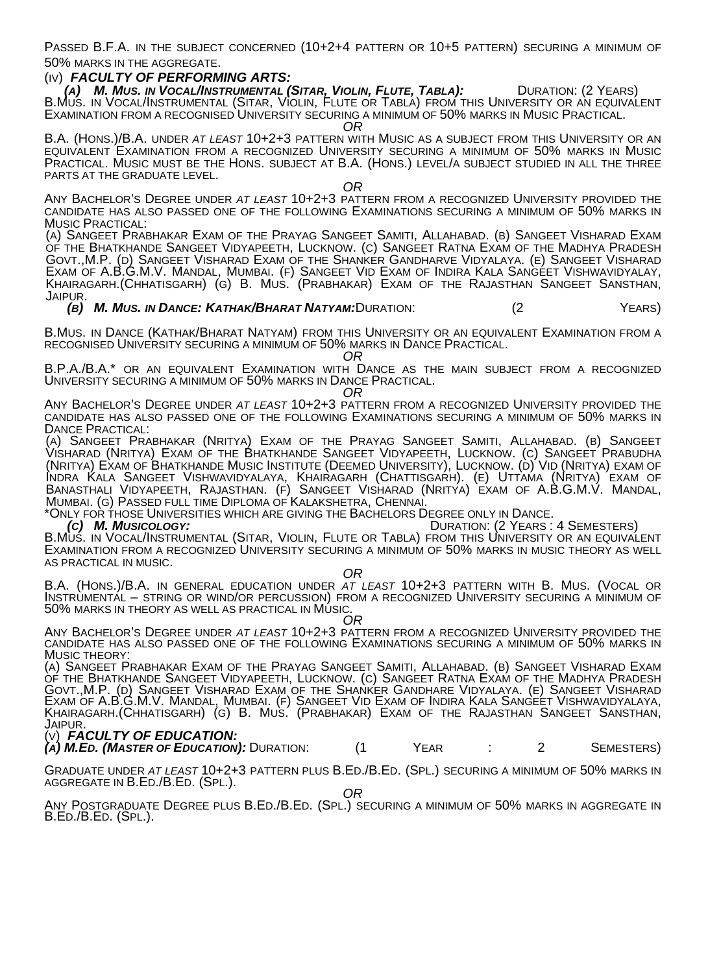PASSED B.F.A. IN THE SUBJECT CONCERNED (10+2+4 PATTERN OR 10+5 PATTERN) SECURING A MINIMUM OF 50% MARKS IN THE AGGREGATE.

#### (IV) *FACULTY OF PERFORMING ARTS:*

` ´**(a)** *M. Mus. in Vocal/Instrumental (Sitar, Violin, Flute, Tabla):* **D**uration: (2 Years)<br>B.Mus. in Vocal/Instrumental (Sitar, Violin, Flute or Tabla) from this University or an equivalent EXAMINATION FROM A RECOGNISED UNIVERSITY SECURING A MINIMUM OF 50% MARKS IN MUSIC PRACTICAL. *OR* 

B.A. (HONS.)/B.A. UNDER *AT LEAST* 10+2+3 PATTERN WITH MUSIC AS A SUBJECT FROM THIS UNIVERSITY OR AN EQUIVALENT EXAMINATION FROM A RECOGNIZED UNIVERSITY SECURING A MINIMUM OF 50% MARKS IN MUSIC PRACTICAL. MUSIC MUST BE THE HONS. SUBJECT AT B.A. (HONS.) LEVEL/A SUBJECT STUDIED IN ALL THE THREE PARTS AT THE GRADUATE LEVEL. *OR* 

ANY BACHELOR'S DEGREE UNDER *AT LEAST* 10+2+3 PATTERN FROM A RECOGNIZED UNIVERSITY PROVIDED THE CANDIDATE HAS ALSO PASSED ONE OF THE FOLLOWING EXAMINATIONS SECURING A MINIMUM OF 50% MARKS IN MUSIC PRACTICAL:

(A) SANGEET PRABHAKAR EXAM OF THE PRAYAG SANGEET SAMITI, ALLAHABAD. (B) SANGEET VISHARAD EXAM OF THE BHATKHANDE SANGEET VIDYAPEETH, LUCKNOW. (C) SANGEET RATNA EXAM OF THE MADHYA PRADESH GOVT.,M.P. (D) SANGEET VISHARAD EXAM OF THE SHANKER GANDHARVE VIDYALAYA. (E) SANGEET VISHARAD Exam of A.B.G.M.V. Mandal, Mumbai. (f) Sangeet Vid Exam of Indira Kala Sangéet Vishwavidyalay,<br>Khairagarh.(Chhatisgarh) (g) B. Mus. (Prabhakar) Exam of the Rajasthan Sangeet Sansthan,<br>Jaipur. (b) M. Mus. in Dance: Kathak/B

B.MUS. IN DANCE (KATHAK/BHARAT NATYAM) FROM THIS UNIVERSITY OR AN EQUIVALENT EXAMINATION FROM A RECOGNISED UNIVERSITY SECURING A MINIMUM OF 50% MARKS IN DANCE PRACTICAL. *OR* 

B.P.A./B.A.\* OR AN EQUIVALENT EXAMINATION WITH DANCE AS THE MAIN SUBJECT FROM A RECOGNIZED UNIVERSITY SECURING A MINIMUM OF 50% MARKS IN DANCE PRACTICAL. *OR* 

ANY BACHELOR'S DEGREE UNDER *AT LEAST* 10+2+3 PATTERN FROM A RECOGNIZED UNIVERSITY PROVIDED THE CANDIDATE HAS ALSO PASSED ONE OF THE FOLLOWING EXAMINATIONS SECURING A MINIMUM OF 50% MARKS IN DANCE PRACTICAL:

(A) SANGEET PRABHAKAR (NRITYA) EXAM OF THE PRAYAG SANGEET SAMITI, ALLAHABAD. (B) SANGEET VISHARAD (NRITYA) EXAM OF THE BHATKHANDE SANGEET VIDYAPEETH, LUCKNOW. (C) SANGEET PRABUDHA (NRITYA) EXAM OF BHATKHANDE MUSIC INSTITUTE (DEEMED UNIVERSITY), LUCKNOW. (D) VID (NRITYA) EXAM OF INDRA KALA SANGEET VISHWAVIDYALAYA, KHAIRAGARH (CHATTISGARH). (E) UTTAMA (NRITYA) EXAM OF BANASTHALI VIDYAPEETH, RAJASTHAN. (F) SANGEET VISHARAD (NRITYA) ÈXAM OF A.B.G.M.V. MANDAL,<br>MUMBAI. (G) PASSED FULL TIME DIPLOMA OF KALAKSHETRA, CHENNAI.<br>\*ONLY FOR THOSE UNIVERSITIES WHICH ARE GIVING THE BACHELORS DEGREE ON

EXAMINATION FROM A RECOGNIZED UNIVERSITY SECURING A MINIMUM OF 50% MARKS IN MUSIC THEORY AS WELL AS PRACTICAL IN MUSIC. *OR* 

B.A. (HONS.)/B.A. IN GENERAL EDUCATION UNDER *AT LEAST* 10+2+3 PATTERN WITH B. MUS. (VOCAL OR INSTRUMENTÁL – STRING OR WIND/OR PERCUSSION) FROM A RECOGNIZED UNIVERSITY SECURING A MINIMUM OF 50% MARKS IN THEORY AS WELL AS PRACTICAL IN MUSIC. *OR* 

ANY BACHELOR'S DEGREE UNDER *AT LEAST* 10+2+3 PATTERN FROM A RECOGNIZED UNIVERSITY PROVIDED THE CANDIDATE HAS ALSO PASSED ONE OF THE FOLLOWING EXAMINATIONS SECURING A MINIMUM OF 50% MARKS IN MUSIC THEORY:

(A) SANGEET PRABHAKAR EXAM OF THE PRAYAG SANGEET SAMITI, ALLAHABAD. (B) SANGEET VISHARAD EXAM OF THE BHATKHANDE SANGEET VIDYAPEETH, LUCKNOW. (C) SANGEET RATNA EXAM OF THE MADHYA PRADESH GOVT.,M.P. (D) SANGEET VISHARAD EXAM OF THE SHANKER GANDHARE VIDYALAYA. (E) SANGEET VISHARAD EXAM OF A.B.G.M.V. MANDAL, MUMBAI. (F) SANGEET VID EXAM OF INDIRA KALA SANGEÉT VISHWAVIDYALAYA,<br>Khairagarh.(Chhatisgarh) (g) B. Mus. (Prabhakar) Exam of the Rajasthan Sangeet Sansthan,<br>Jaipur.<br>(v) **FACULTY OF EDUCATION:** 

*(A) M.ED. (MASTER OF EDUCATION):* DURATION: (1 YEAR : 2 SEMESTERS)

GRADUATE UNDER *AT LEAST* 10+2+3 PATTERN PLUS B.ED./B.ED. (SPL.) SECURING A MINIMUM OF 50% MARKS IN AGGREGATE IN B.ED./B.ED. (SPL.). *OR* 

ANY POSTGRADUATE DEGREE PLUS B.ED./B.ED. (SPL.) SECURING A MINIMUM OF 50% MARKS IN AGGREGATE IN B.ED./B.ED. (SPL.).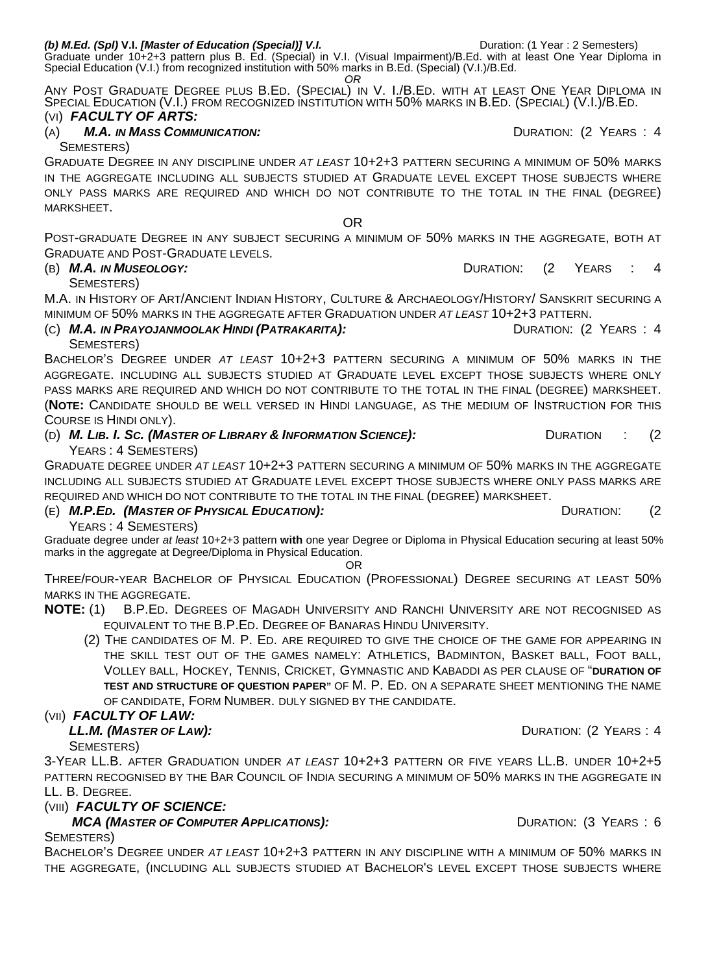Graduate under 10+2+3 pattern plus B. Ed. (Special) in V.I. (Visual Impairment)/B.Ed. with at least One Year Diploma in Special Education (V.I.) from recognized institution with 50% marks in B.Ed. (Special) (V.I.)/B.Ed. *OR* 

ANY POST GRADUATE DEGREE PLUS B.ED. (SPECIAL) IN V. I./B.ED. WITH AT LEAST ONE YEAR DIPLOMA IN SPECIAL EDUCATION (V.I.) FROM RECOGNIZED INSTITUTION WITH 50% MARKS IN B.ED. (SPECIAL) (V.I.)/B.ED.

### (VI) *FACULTY OF ARTS:*

(A) **M.A. IN MASS COMMUNICATION: COMMUNICATION: COMMUNICATION: COMMUNICATION: PEARS**: 4

SEMESTERS)

GRADUATE DEGREE IN ANY DISCIPLINE UNDER *AT LEAST* 10+2+3 PATTERN SECURING A MINIMUM OF 50% MARKS IN THE AGGREGATE INCLUDING ALL SUBJECTS STUDIED AT GRADUATE LEVEL EXCEPT THOSE SUBJECTS WHERE ONLY PASS MARKS ARE REQUIRED AND WHICH DO NOT CONTRIBUTE TO THE TOTAL IN THE FINAL (DEGREE) MARKSHEET.

POST-GRADUATE DEGREE IN ANY SUBJECT SECURING A MINIMUM OF 50% MARKS IN THE AGGREGATE, BOTH AT GRADUATE AND POST-GRADUATE LEVELS.

OR

#### (B) *M.A. IN MUSEOLOGY:* DURATION: (2 YEARS : 4

SEMESTERS)

M.A. IN HISTORY OF ART/ANCIENT INDIAN HISTORY, CULTURE & ARCHAEOLOGY/HISTORY/ SANSKRIT SECURING A MINIMUM OF 50% MARKS IN THE AGGREGATE AFTER GRADUATION UNDER *AT LEAST* 10+2+3 PATTERN.

(C) *M.A. IN PRAYOJANMOOLAK HINDI (PATRAKARITA):* DURATION: (2 YEARS : 4

SEMESTERS) BACHELOR'S DEGREE UNDER *AT LEAST* 10+2+3 PATTERN SECURING A MINIMUM OF 50% MARKS IN THE AGGREGATE. INCLUDING ALL SUBJECTS STUDIED AT GRADUATE LEVEL EXCEPT THOSE SUBJECTS WHERE ONLY PASS MARKS ARE REQUIRED AND WHICH DO NOT CONTRIBUTE TO THE TOTAL IN THE FINAL (DEGREE) MARKSHEET. (**NOTE:** CANDIDATE SHOULD BE WELL VERSED IN HINDI LANGUAGE, AS THE MEDIUM OF INSTRUCTION FOR THIS COURSE IS HINDI ONLY).

(D) *M. LIB. I. SC. (MASTER OF LIBRARY & INFORMATION SCIENCE):* DURATION : (2

YEARS : 4 SEMESTERS) GRADUATE DEGREE UNDER *AT LEAST* 10+2+3 PATTERN SECURING A MINIMUM OF 50% MARKS IN THE AGGREGATE INCLUDING ALL SUBJECTS STUDIED AT GRADUATE LEVEL EXCEPT THOSE SUBJECTS WHERE ONLY PASS MARKS ARE REQUIRED AND WHICH DO NOT CONTRIBUTE TO THE TOTAL IN THE FINAL (DEGREE) MARKSHEET.

#### (E) *M.P.ED. (MASTER OF PHYSICAL EDUCATION):* DURATION: (2

YEARS : 4 SEMESTERS)

Graduate degree under *at least* 10+2+3 pattern **with** one year Degree or Diploma in Physical Education securing at least 50% marks in the aggregate at Degree/Diploma in Physical Education.

OR

THREE/FOUR-YEAR BACHELOR OF PHYSICAL EDUCATION (PROFESSIONAL) DEGREE SECURING AT LEAST 50% MARKS IN THE AGGREGATE.

- **NOTE:** (1) B.P.ED. DEGREES OF MAGADH UNIVERSITY AND RANCHI UNIVERSITY ARE NOT RECOGNISED AS EQUIVALENT TO THE B.P.ED. DEGREE OF BANARAS HINDU UNIVERSITY.
	- (2) THE CANDIDATES OF M. P. ED. ARE REQUIRED TO GIVE THE CHOICE OF THE GAME FOR APPEARING IN THE SKILL TEST OUT OF THE GAMES NAMELY: ATHLETICS, BADMINTON, BASKET BALL, FOOT BALL, VOLLEY BALL, HOCKEY, TENNIS, CRICKET, GYMNASTIC AND KABADDI AS PER CLAUSE OF "**DURATION OF TEST AND STRUCTURE OF QUESTION PAPER"** OF M. P. ED. ON A SEPARATE SHEET MENTIONING THE NAME OF CANDIDATE, FORM NUMBER. DULY SIGNED BY THE CANDIDATE.

#### (VII) *FACULTY OF LAW:*

#### *LL.M. (MASTER OF LAW):* DURATION: (2 YEARS : 4

SEMESTERS)

3-YEAR LL.B. AFTER GRADUATION UNDER *AT LEAST* 10+2+3 PATTERN OR FIVE YEARS LL.B. UNDER 10+2+5 PATTERN RECOGNISED BY THE BAR COUNCIL OF INDIA SECURING A MINIMUM OF 50% MARKS IN THE AGGREGATE IN LL. B. DEGREE.

#### (VIII) *FACULTY OF SCIENCE:*

#### *MCA (MASTER OF COMPUTER APPLICATIONS):* DURATION: (3 YEARS : 6

SEMESTERS)

BACHELOR'S DEGREE UNDER *AT LEAST* 10+2+3 PATTERN IN ANY DISCIPLINE WITH A MINIMUM OF 50% MARKS IN THE AGGREGATE, (INCLUDING ALL SUBJECTS STUDIED AT BACHELOR'S LEVEL EXCEPT THOSE SUBJECTS WHERE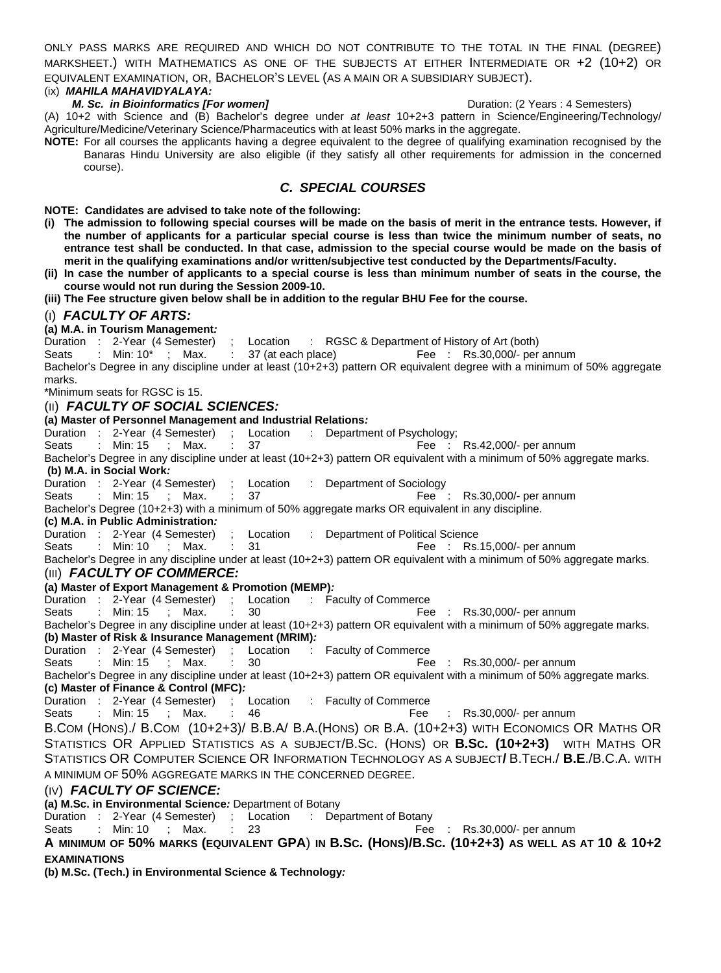ONLY PASS MARKS ARE REQUIRED AND WHICH DO NOT CONTRIBUTE TO THE TOTAL IN THE FINAL (DEGREE) MARKSHEET.) WITH MATHEMATICS AS ONE OF THE SUBJECTS AT EITHER INTERMEDIATE OR +2 (10+2) OR EQUIVALENT EXAMINATION, OR, BACHELOR'S LEVEL (AS A MAIN OR A SUBSIDIARY SUBJECT).

#### (ix) *MAHILA MAHAVIDYALAYA:*

#### *M. Sc. in Bioinformatics [For women]* **Duration: (2 Years : 4 Semesters) Duration: (2 Years : 4 Semesters)**

(A) 10+2 with Science and (B) Bachelor's degree under *at least* 10+2+3 pattern in Science/Engineering/Technology/ Agriculture/Medicine/Veterinary Science/Pharmaceutics with at least 50% marks in the aggregate.

**NOTE:** For all courses the applicants having a degree equivalent to the degree of qualifying examination recognised by the Banaras Hindu University are also eligible (if they satisfy all other requirements for admission in the concerned course).

#### *C. SPECIAL COURSES*

**NOTE: Candidates are advised to take note of the following:** 

- **(i) The admission to following special courses will be made on the basis of merit in the entrance tests. However, if the number of applicants for a particular special course is less than twice the minimum number of seats, no entrance test shall be conducted. In that case, admission to the special course would be made on the basis of merit in the qualifying examinations and/or written/subjective test conducted by the Departments/Faculty.**
- **(ii) In case the number of applicants to a special course is less than minimum number of seats in the course, the course would not run during the Session 2009-10.**
- **(iii) The Fee structure given below shall be in addition to the regular BHU Fee for the course.**

#### (I) *FACULTY OF ARTS:*

#### **(a) M.A. in Tourism Management***:*

Duration : 2-Year (4 Semester) ; Location : RGSC & Department of History of Art (both)

Seats : Min: 10<sup>\*</sup> ; Max. : 37 (at each place) Fee : Rs.30,000/- per annum

Bachelor's Degree in any discipline under at least (10+2+3) pattern OR equivalent degree with a minimum of 50% aggregate marks.

\*Minimum seats for RGSC is 15.

#### (II) *FACULTY OF SOCIAL SCIENCES:*

#### **(a) Master of Personnel Management and Industrial Relations***:*

Duration : 2-Year (4 Semester) ; Location : Department of Psychology;

Seats : Min: 15 ; Max. : 37 Fee : Rs.42,000/- per annum

Bachelor's Degree in any discipline under at least (10+2+3) pattern OR equivalent with a minimum of 50% aggregate marks.

 **(b) M.A. in Social Work***:*

Duration : 2-Year (4 Semester) ; Location : Department of Sociology

Seats : Min: 15 ; Max. : 37 Fee : Rs.30,000/- per annum

Bachelor's Degree (10+2+3) with a minimum of 50% aggregate marks OR equivalent in any discipline.

#### **(c) M.A. in Public Administration***:*

Duration : 2-Year (4 Semester) ; Location : Department of Political Science

Seats : Min: 10 ; Max. : 31 Fee : Rs.15,000/- per annum

Bachelor's Degree in any discipline under at least (10+2+3) pattern OR equivalent with a minimum of 50% aggregate marks.

#### (III) *FACULTY OF COMMERCE:*

#### **(a) Master of Export Management & Promotion (MEMP)***:*

Duration : 2-Year (4 Semester) ; Location : Faculty of Commerce

Seats : Min: 15 ; Max. : 30 Fee : Rs.30,000/- per annum

Bachelor's Degree in any discipline under at least (10+2+3) pattern OR equivalent with a minimum of 50% aggregate marks. **(b) Master of Risk & Insurance Management (MRIM)***:*

Duration : 2-Year (4 Semester) ; Location : Faculty of Commerce

Seats : Min: 15 ; Max. : 30 Fee : Rs.30,000/- per annum

Bachelor's Degree in any discipline under at least (10+2+3) pattern OR equivalent with a minimum of 50% aggregate marks. **(c) Master of Finance & Control (MFC)***:*

Duration : 2-Year (4 Semester) ; Location : Faculty of Commerce

Seats : Min: 15 ; Max. : 46 Fee : Rs.30,000/- per annum

B.COM (HONS)./ B.COM (10+2+3)/ B.B.A/ B.A.(HONS) OR B.A. (10+2+3) WITH ECONOMICS OR MATHS OR STATISTICS OR APPLIED STATISTICS AS A SUBJECT/B.SC. (HONS) OR **B.SC. (10+2+3)** WITH MATHS OR STATISTICS OR COMPUTER SCIENCE OR INFORMATION TECHNOLOGY AS A SUBJECT**/** B.TECH./ **B.E**./B.C.A. WITH A MINIMUM OF 50% AGGREGATE MARKS IN THE CONCERNED DEGREE.

#### (IV) *FACULTY OF SCIENCE:*

**(a) M.Sc. in Environmental Science***:* Department of Botany

Duration : 2-Year (4 Semester) ; Location : Department of Botany

Seats : Min: 10 : Max. : 23 Fee : Rs.30,000/- per annum

#### **A MINIMUM OF 50% MARKS (EQUIVALENT GPA**) **IN B.SC. (HONS)/B.SC. (10+2+3) AS WELL AS AT 10 & 10+2 EXAMINATIONS**

**(b) M.Sc. (Tech.) in Environmental Science & Technology***:*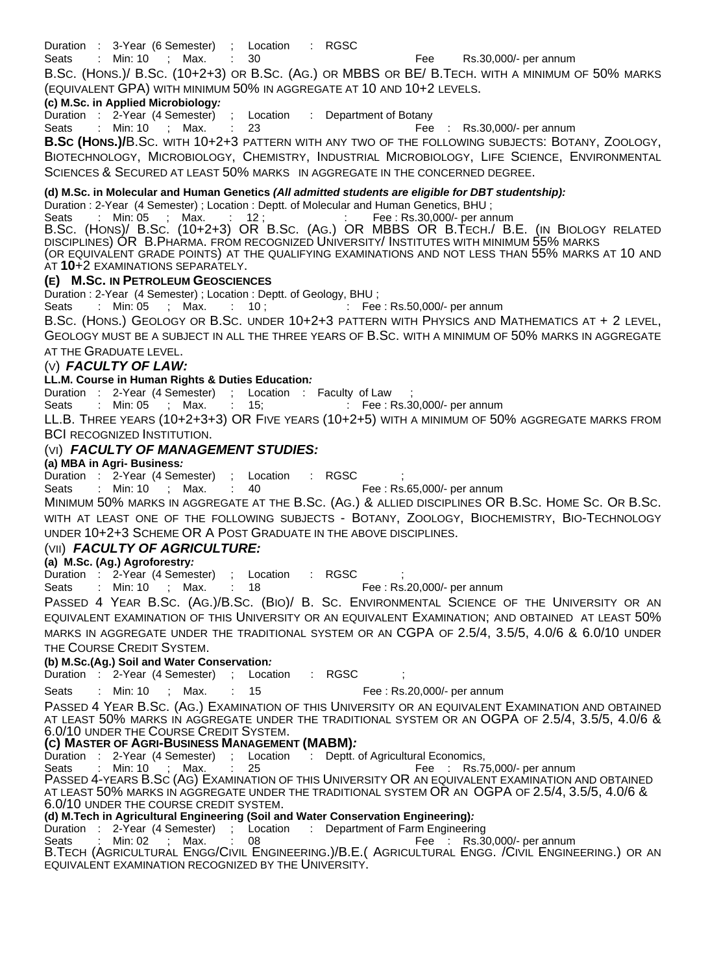Duration : 3-Year (6 Semester) ; Location : RGSC

Seats : Min: 10 ; Max. : 30 Fee Rs.30,000/- per annum

B.SC. (HONS.)/ B.SC. (10+2+3) OR B.SC. (AG.) OR MBBS OR BE/ B.TECH. WITH A MINIMUM OF 50% MARKS (EQUIVALENT GPA) WITH MINIMUM 50% IN AGGREGATE AT 10 AND 10+2 LEVELS.

#### **(c) M.Sc. in Applied Microbiology***:*

Duration : 2-Year (4 Semester) ; Location : Department of Botany<br>Seats : Min: 10 ; Max. : 23

Seats : Min: 10 ; Max. : 23 Fee : Rs.30,000/- per annum

**B.SC (HONS.)/**B.SC. WITH 10+2+3 PATTERN WITH ANY TWO OF THE FOLLOWING SUBJECTS: BOTANY, ZOOLOGY, BIOTECHNOLOGY, MICROBIOLOGY, CHEMISTRY, INDUSTRIAL MICROBIOLOGY, LIFE SCIENCE, ENVIRONMENTAL

SCIENCES & SECURED AT LEAST 50% MARKS IN AGGREGATE IN THE CONCERNED DEGREE.

#### **(d) M.Sc. in Molecular and Human Genetics** *(All admitted students are eligible for DBT studentship):*

Duration : 2-Year (4 Semester) ; Location : Deptt. of Molecular and Human Genetics, BHU ;

Seats : Min: 05 ; Max. : 12; . . . . Fee : Rs.30,000/- per annum

B.SC. (HONS)/ B.Sc. (10+2+3) OR B.SC. (AG.) OR MBBS OR B.TECH./ B.E. (IN BIOLOGY RELATED DISCIPLINES) OR B. PHARMA. FROM RECOGNIZED UNIVERSITY/ INSTITUTES WITH MINIMUM 55% MARKS (OR EQUIVALENT GRADE POINTS) AT THE QUALIFYING EXAMINATIONS AND NOT LESS THAN 55% MARKS AT 10 AND AT **10**+2 EXAMINATIONS SEPARATELY.

#### **(E) M.SC. IN PETROLEUM GEOSCIENCES**

Duration : 2-Year (4 Semester) ; Location : Deptt. of Geology, BHU ;

Seats : Min: 05 ; Max. : 10; : Fee : Rs.50,000/- per annum

B.SC. (HONS.) GEOLOGY OR B.SC. UNDER 10+2+3 PATTERN WITH PHYSICS AND MATHEMATICS AT + 2 LEVEL,

GEOLOGY MUST BE A SUBJECT IN ALL THE THREE YEARS OF B.SC. WITH A MINIMUM OF 50% MARKS IN AGGREGATE AT THE GRADUATE LEVEL.

#### (V)*FACULTY OF LAW:*

#### **LL.M. Course in Human Rights & Duties Education***:*

Duration : 2-Year (4 Semester) ; Location : Faculty of Law

Seats : Min: 05 ; Max. : 15; : Fee : Rs.30,000/- per annum

LL.B. THREE YEARS (10+2+3+3) OR FIVE YEARS (10+2+5) WITH A MINIMUM OF 50% AGGREGATE MARKS FROM BCI RECOGNIZED INSTITUTION.

#### (VI) *FACULTY OF MANAGEMENT STUDIES:*

#### **(a) MBA in Agri- Business***:*

Duration : 2-Year (4 Semester) ; Location : RGSC

Seats : Min: 10 ; Max. : 40 Fee : Rs.65,000/- per annum

MINIMUM 50% MARKS IN AGGREGATE AT THE B.SC. (AG.) & ALLIED DISCIPLINES OR B.SC. HOME SC. OR B.SC. WITH AT LEAST ONE OF THE FOLLOWING SUBJECTS - BOTANY, ZOOLOGY, BIOCHEMISTRY, BIO-TECHNOLOGY UNDER 10+2+3 SCHEME OR A POST GRADUATE IN THE ABOVE DISCIPLINES.

#### (VII) *FACULTY OF AGRICULTURE:*

#### **(a) M.Sc. (Ag.) Agroforestry***:*

Duration : 2-Year (4 Semester) ; Location : RGSC

Seats : Min: 10 ; Max. : 18 Fee : Rs.20,000/- per annum

PASSED 4 YEAR B.SC. (AG.)/B.SC. (BIO)/ B. SC. ENVIRONMENTAL SCIENCE OF THE UNIVERSITY OR AN EQUIVALENT EXAMINATION OF THIS UNIVERSITY OR AN EQUIVALENT EXAMINATION; AND OBTAINED AT LEAST 50% MARKS IN AGGREGATE UNDER THE TRADITIONAL SYSTEM OR AN CGPA OF 2.5/4, 3.5/5, 4.0/6 & 6.0/10 UNDER THE COURSE CREDIT SYSTEM.

#### **(b) M.Sc.(Ag.) Soil and Water Conservation***:*

Duration : 2-Year (4 Semester) ; Location : RGSC ;

Seats : Min: 10 ; Max. : 15 Fee : Rs.20,000/- per annum

PASSED 4 YEAR B.SC. (AG.) EXAMINATION OF THIS UNIVERSITY OR AN EQUIVALENT EXAMINATION AND OBTAINED AT LEAST 50% MARKS IN AGGREGATE UNDER THE TRADITIONAL SYSTEM OR AN OGPA OF 2.5/4, 3.5/5, 4.0/6 &<br>6.0/10 UNDER THE COURSE CREDIT SYSTEM.

#### **(C) MASTER OF AGRI-BUSINESS MANAGEMENT (MABM)***:*

Duration : 2-Year (4 Semester) ; Location : Deptt. of Agricultural Economics,

Seats : Min: 10 ; Max. : 25 Fee : Rs.75,000/- per annum

PASSED 4-YEARS B.SC (AG) EXAMINATION OF THIS UNIVERSITY OR AN EQUIVALENT EXAMINATION AND OBTAINED AT LEAST 50% MARKS IN AGGREGATE UNDER THE TRADITIONAL SYSTEM OR AN OGPA OF 2.5/4, 3.5/5, 4.0/6 & 6.0/10 UNDER THE COURSE CREDIT SYSTEM.

#### **(d) M.Tech in Agricultural Engineering (Soil and Water Conservation Engineering)***:*

Duration : 2-Year (4 Semester) ; Location : Department of Farm Engineering<br>Seats : Min: 02 : Max. : 08 Fee : Rs.3

Seats : Min: 02 : Max. : 08 Fee : Rs.30,000/- per annum

B.TECH (AGRICULTURAL ENGG/CIVIL ENGINEERING.)/B.E.( AGRICULTURAL ENGG. /CIVIL ENGINEERING.) OR AN EQUIVALENT EXAMINATION RECOGNIZED BY THE UNIVERSITY.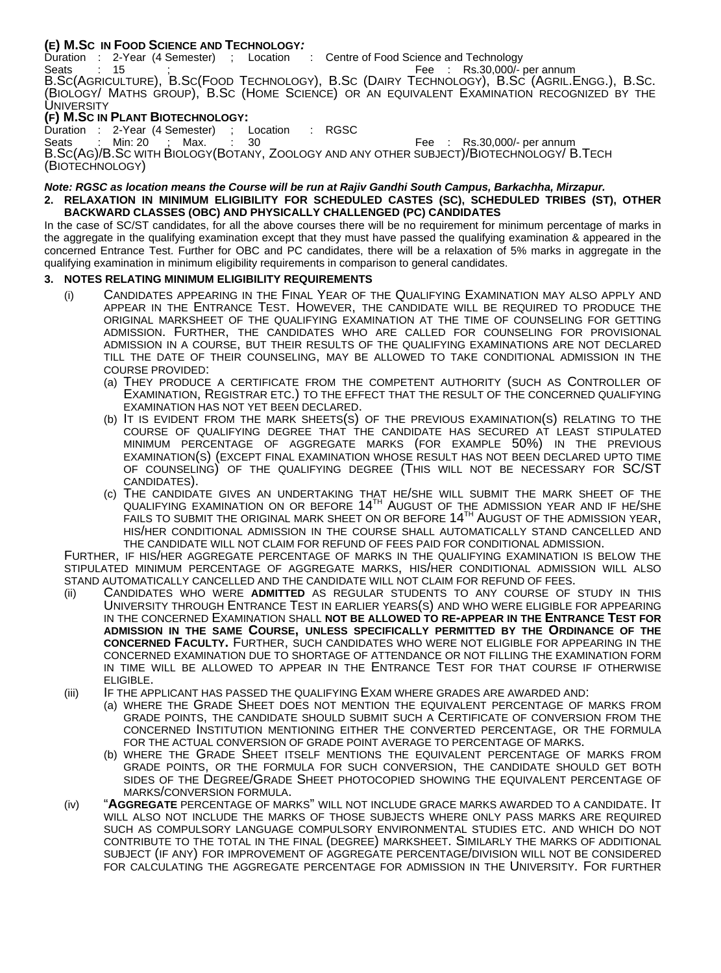#### **(E) M.SC IN FOOD SCIENCE AND TECHNOLOGY***:*

Duration : 2-Year (4 Semester) ; Location : Centre of Food Science and Technology Seats : 15 ; The seats of the seats of the seats of the Seats of the Seats of the Seats of the Seats of the Seats of the Seats of the Seats of the Seats of the Seats of the Seats of the Seats of the Seats of the Seats of t B.SC(AGRICULTURE), B.SC(FOOD TECHNOLOGY), B.SC (DAIRY TECHNOLOGY), B.SC (AGRIL.ENGG.), B.SC.<br>(BIOLOGY/ MATHS GROUP), B.SC (HOME SCIENCE) OR AN EQUIVALENT EXAMINATION RECOGNIZED BY THE **UNIVERSITY** 

## **(F) M.Sc IN PLANT BIOTECHNOLOGY:**<br>Duration : 2-Year (4 Semester) ; Location

Duration : 2-Year (4 Semester) ; Location : RGSC Seats : Min: 20 ; Max. : 30 Fee : Rs.30,000/- per annum B.SC(AG)/B.SC WITH BIOLOGY(BOTANY, ZOOLOGY AND ANY OTHER SUBJECT)/BIOTECHNOLOGY/ B.TECH (BIOTECHNOLOGY)

#### *Note: RGSC as location means the Course will be run at Rajiv Gandhi South Campus, Barkachha, Mirzapur.*  **2. RELAXATION IN MINIMUM ELIGIBILITY FOR SCHEDULED CASTES (SC), SCHEDULED TRIBES (ST), OTHER BACKWARD CLASSES (OBC) AND PHYSICALLY CHALLENGED (PC) CANDIDATES**

In the case of SC/ST candidates, for all the above courses there will be no requirement for minimum percentage of marks in the aggregate in the qualifying examination except that they must have passed the qualifying examination & appeared in the concerned Entrance Test. Further for OBC and PC candidates, there will be a relaxation of 5% marks in aggregate in the qualifying examination in minimum eligibility requirements in comparison to general candidates.

#### **3. NOTES RELATING MINIMUM ELIGIBILITY REQUIREMENTS**

- (i) CANDIDATES APPEARING IN THE FINAL YEAR OF THE QUALIFYING EXAMINATION MAY ALSO APPLY AND APPEAR IN THE ENTRANCE TEST. HOWEVER, THE CANDIDATE WILL BE REQUIRED TO PRODUCE THE ORIGINAL MARKSHEET OF THE QUALIFYING EXAMINATION AT THE TIME OF COUNSELING FOR GETTING ADMISSION. FURTHER, THE CANDIDATES WHO ARE CALLED FOR COUNSELING FOR PROVISIONAL ADMISSION IN A COURSE, BUT THEIR RESULTS OF THE QUALIFYING EXAMINATIONS ARE NOT DECLARED TILL THE DATE OF THEIR COUNSELING, MAY BE ALLOWED TO TAKE CONDITIONAL ADMISSION IN THE COURSE PROVIDED:
	- (a) THEY PRODUCE A CERTIFICATE FROM THE COMPETENT AUTHORITY (SUCH AS CONTROLLER OF EXAMINATION, REGISTRAR ETC.) TO THE EFFECT THAT THE RESULT OF THE CONCERNED QUALIFYING
	- (b) IT IS EVIDENT FROM THE MARK SHEETS(S) OF THE PREVIOUS EXAMINATION(S) RELATING TO THE COURSE OF QUALIFYING DEGREE THAT THE CANDIDATE HAS SECURED AT LEAST STIPULATED MINIMUM PERCENTAGE OF AGGREGATE MARKS (FOR EXAMPLE 50%) IN THE PREVIOUS EXAMINATION(S) (EXCEPT FINAL EXAMINATION WHOSE RESULT HAS NOT BEEN DECLARED UPTO TIME OF COUNSELING) OF THE QUALIFYING DEGREE (THIS WILL NOT BE NECESSARY FOR SC/ST CANDIDATES).
	- (c) THE CANDIDATE GIVES AN UNDERTAKING THAT HE/SHE WILL SUBMIT THE MARK SHEET OF THE QUALIFYING EXAMINATION ON OR BEFORE  $14^{\text{th}}$  August of the admission year and if he/she FAILS TO SUBMIT THE ORIGINAL MARK SHEET ON OR BEFORE  $14^{\text{\tiny{TH}}}$  AUGUST OF THE ADMISSION YEAR,<br>HIS/HER CONDITIONAL ADMISSION IN THE COURSE SHALL AUTOMATICALLY STAND CANCELLED AND

THE CANDIDATE WILL NOT CLAIM FOR REFUND OF FEES PAID FOR CONDITIONAL ADMISSION.<br>FURTHER, IF HIS/HER AGGREGATE PERCENTAGE OF MARKS IN THE QUALIFYING EXAMINATION IS BELOW THE STIPULATED MINIMUM PERCENTAGE OF AGGREGATE MARKS, HIS/HER CONDITIONAL ADMISSION WILL ALSO<br>STAND AUTOMATICALLY CANCELLED AND THE CANDIDATE WILL NOT CLAIM FOR REFUND OF FEES.

- (ii) CANDIDATES WHO WERE ADMITTED AS REGULAR STUDENTS TO ANY COURSE OF STUDY IN THIS UNIVERSITY THROUGH ENTRANCE TEST IN EARLIER YEARS(S) AND WHO WERE ELIGIBLE FOR APPEARING IN THE CONCERNED EXAMINATION SHALL **NOT BE ALLOWED TO RE-APPEAR IN THE ENTRANCE TEST FOR ADMISSION IN THE SAME COURSE, UNLESS SPECIFICALLY PERMITTED BY THE ORDINANCE OF THE CONCERNED FACULTY.** FURTHER, SUCH CANDIDATES WHO WERE NOT ELIGIBLE FOR APPEARING IN THE CONCERNED EXAMINATION DUE TO SHORTAGE OF ATTENDANCE OR NOT FILLING THE EXAMINATION FORM IN TIME WILL BE ALLOWED TO APPEAR IN THE ENTRANCE TEST FOR THAT COURSE IF OTHERWISE
- ELIGIBLE.<br>(iii) IF THE APPLICANT HAS PASSED THE QUALIFYING EXAM WHERE GRADES ARE AWARDED AND:
	- (a) WHERE THE GRADE SHEET DOES NOT MENTION THE EQUIVALENT PERCENTAGE OF MARKS FROM GRADE POINTS, THE CANDIDATE SHOULD SUBMIT SUCH A CERTIFICATE OF CONVERSION FROM THE CONCERNED INSTITUTION MENTIONING EITHER THE CONVERTED PERCENTAGE, OR THE FORMULA FOR THE ACTUAL CONVERSION OF GRADE POINT AVERAGE TO PERCENTAGE OF MARKS.
	- (b) WHERE THE GRADE SHEET ITSELF MENTIONS THE EQUIVALENT PERCENTAGE OF MARKS FROM GRADE POINTS, OR THE FORMULA FOR SUCH CONVERSION, THE CANDIDATE SHOULD GET BOTH SIDES OF THE DEGREE/GRADE SHEET PHOTOCOPIED SHOWING THE EQUIVALENT PERCENTAGE OF MARKS/CONVERSION FORMULA.
- (iv) **"AGGREGATE** PERCENTAGE OF MARKS" WILL NOT INCLUDE GRACE MARKS AWARDED TO A CANDIDATE. IT WILL ALSO NOT INCLUDE THE MARKS OF THOSE SUBJECTS WHERE ONLY PASS MARKS ARE REQUIRED SUCH AS COMPULSORY LANGUAGE COMPULSORY ENVIRONMENTAL STUDIES ETC. AND WHICH DO NOT CONTRIBUTE TO THE TOTAL IN THE FINAL (DEGREE) MARKSHEET. SIMILARLY THE MARKS OF ADDITIONAL SUBJECT (IF ANY) FOR IMPROVEMENT OF AGGREGATE PERCENTAGE/DIVISION WILL NOT BE CONSIDERED FOR CALCULATING THE AGGREGATE PERCENTAGE FOR ADMISSION IN THE UNIVERSITY. FOR FURTHER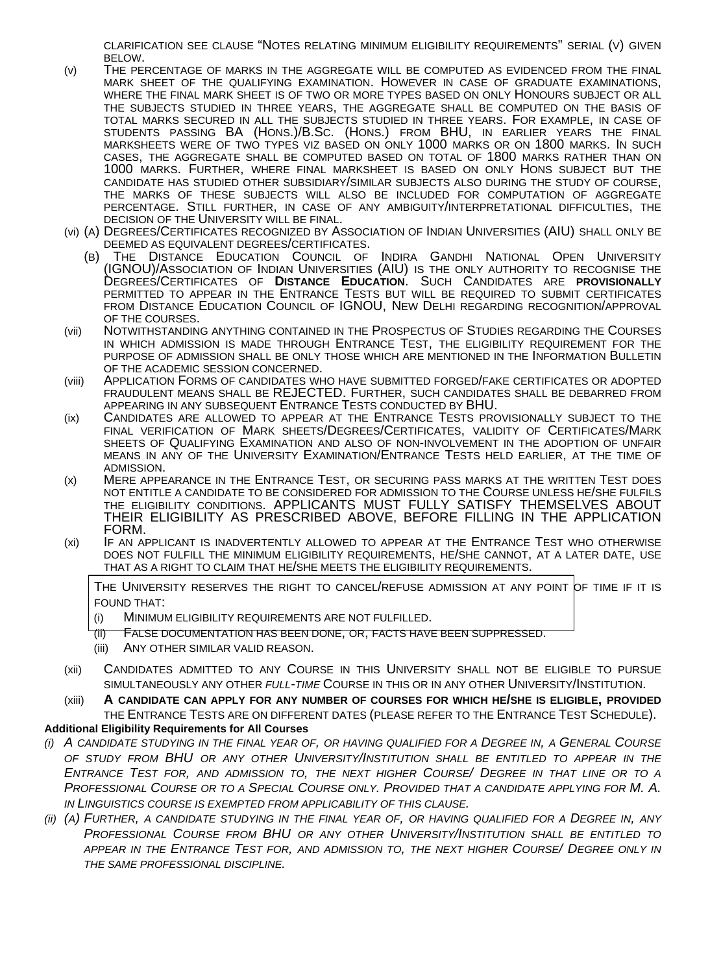CLARIFICATION SEE CLAUSE "NOTES RELATING MINIMUM ELIGIBILITY REQUIREMENTS" SERIAL (V) GIVEN

- (v) THE PERCENTAGE OF MARKS IN THE AGGREGATE WILL BE COMPUTED AS EVIDENCED FROM THE FINAL MARK SHEET OF THE QUALIFYING EXAMINATION. HOWEVER IN CASE OF GRADUATE EXAMINATIONS, WHERE THE FINAL MARK SHEET IS OF TWO OR MORE TYPES BASED ON ONLY HONOURS SUBJECT OR ALL THE SUBJECTS STUDIED IN THREE YEARS, THE AGGREGATE SHALL BE COMPUTED ON THE BASIS OF TOTAL MARKS SECURED IN ALL THE SUBJECTS STUDIED IN THREE YEARS. FOR EXAMPLE, IN CASE OF STUDENTS PASSING BA (HONS.)/B.SC. (HONS.) FROM BHU, IN EARLIER YEARS THE FINAL MARKSHEETS WERE OF TWO TYPES VIZ BASED ON ONLY 1000 MARKS OR ON 1800 MARKS. IN SUCH CASES, THE AGGREGATE SHALL BE COMPUTED BASED ON TOTAL OF 1800 MARKS RATHER THAN ON 1000 MARKS. FURTHER, WHERE FINAL MARKSHEET IS BASED ON ONLY HONS SUBJECT BUT THE CANDIDATE HAS STUDIED OTHER SUBSIDIARY/SIMILAR SUBJECTS ALSO DURING THE STUDY OF COURSE, CANDIDATE HAS STUDIED OTHER SUBSIDIARY/SIMILAR SUBJECTS ALSO DURING THE STUDY OF COURSE,<br>THE MARKS OF THESE SUBJECTS WILL ALSO BE INCLUDED FOR COMPUTATION OF AGGREGATE PERCENTAGE. STILL FURTHER, IN CASE OF ANY AMBIGUITY/INTERPRETATIONAL DIFFICULTIES, THE
- DECISION OF THE UNIVERSITY WILL BE FINAL.<br>(vi) (A) DEGREES/CERTIFICATES RECOGNIZED BY ASSOCIATION OF INDIAN UNIVERSITIES (AIU) SHALL ONLY BE<br>DEEMED AS EQUIVALENT DEGREES/CERTIFICATES.
	- (B) THE DISTANCE EDUCATION COUNCIL OF INDIRA GANDHI NATIONAL OPEN UNIVERSITY (IGNOU)/ASSOCIATION OF INDIAN UNIVERSITIES (AIU) IS THE ONLY AUTHORITY TO RECOGNISE THE DEGREES/CERTIFICATES OF **DISTANCE EDUCATION**. SUCH CANDIDATES ARE **PROVISIONALLY**  PERMITTED TO APPEAR IN THE ENTRANCE TESTS BUT WILL BE REQUIRED TO SUBMIT CERTIFICATES FROM DISTANCE EDUCATION COUNCIL OF IGNOU, NEW DELHI REGARDING RECOGNITION/APPROVAL
- OF THE COURSES.<br>(vii) NOTWITHSTANDING ANYTHING CONTAINED IN THE PROSPECTUS OF STUDIES REGARDING THE COURSES IN WHICH ADMISSION IS MADE THROUGH ENTRANCE TEST, THE ELIGIBILITY REQUIREMENT FOR THE PURPOSE OF ADMISSION SHALL BE ONLY THOSE WHICH ARE MENTIONED IN THE INFORMATION BULLETIN
- OF THE ACADEMIC SESSION CONCERNED. (viii) APPLICATION FORMS OF CANDIDATES WHO HAVE SUBMITTED FORGED/FAKE CERTIFICATES OR ADOPTED FRAUDULENT MEANS SHALL BE REJECTED. FURTHER, SUCH CANDIDATES SHALL BE DEBARRED FROM APPEARING IN ANY SUBSEQUENT ENTRANCE TESTS CONDUCTED BY BHU.
- (ix) CANDIDATES ARE ALLOWED TO APPEAR AT THE ENTRANCE TESTS PROVISIONALLY SUBJECT TO THE FINAL VERIFICATION OF MARK SHEETS/DEGREES/CERTIFICATES, VALIDITY OF CERTIFICATES/MARK SHEETS OF QUALIFYING EXAMINATION AND ALSO OF NON-INVOLVEMENT IN THE ADOPTION OF UNFAIR MEANS IN ANY OF THE UNIVERSITY EXAMINATION/ENTRANCE TESTS HELD EARLIER, AT THE TIME OF ADMISSION.
- (x) MERE APPEARANCE IN THE ENTRANCE TEST, OR SECURING PASS MARKS AT THE WRITTEN TEST DOES NOT ENTITLE A CANDIDATE TO BE CONSIDERED FOR ADMISSION TO THE COURSE UNLESS HE/SHE FULFILS THE ELIGIBILITY CONDITIONS. APPLICANTS MUST FULLY SATISFY THEMSELVES ABOUT THEIR ELIGIBILITY AS PRESCRIBED ABOVE, BEFORE FILLING IN THE APPLICATION FORM.
- (xi) IF AN APPLICANT IS INADVERTENTLY ALLOWED TO APPEAR AT THE ENTRANCE TEST WHO OTHERWISE DOES NOT FULFILL THE MINIMUM ELIGIBILITY REQUIREMENTS, HE/SHE CANNOT, AT A LATER DATE, USE THAT AS A RIGHT TO CLAIM THAT HE/SHE MEETS THE ELIGIBILITY REQUIREMENTS.

THE UNIVERSITY RESERVES THE RIGHT TO CANCEL/REFUSE ADMISSION AT ANY POINT OF TIME IF IT IS FOUND THAT:

- (i) MINIMUM ELIGIBILITY REQUIREMENTS ARE NOT FULFILLED.
- (ii) FALSE DOCUMENTATION HAS BEEN DONE, OR, FACTS HAVE BEEN SUPPRESSED.
- (iii) ANY OTHER SIMILAR VALID REASON.
- (xii) CANDIDATES ADMITTED TO ANY COURSE IN THIS UNIVERSITY SHALL NOT BE ELIGIBLE TO PURSUE SIMULTANEOUSLY ANY OTHER *FULL-TIME* COURSE IN THIS OR IN ANY OTHER UNIVERSITY/INSTITUTION.
- (xiii) **A CANDIDATE CAN APPLY FOR ANY NUMBER OF COURSES FOR WHICH HE/SHE IS ELIGIBLE, PROVIDED** THE ENTRANCE TESTS ARE ON DIFFERENT DATES (PLEASE REFER TO THE ENTRANCE TEST SCHEDULE).

#### **Additional Eligibility Requirements for All Courses**

- *(i) A CANDIDATE STUDYING IN THE FINAL YEAR OF, OR HAVING QUALIFIED FOR A DEGREE IN, A GENERAL COURSE OF STUDY FROM BHU OR ANY OTHER UNIVERSITY/INSTITUTION SHALL BE ENTITLED TO APPEAR IN THE ENTRANCE TEST FOR, AND ADMISSION TO, THE NEXT HIGHER COURSE/ DEGREE IN THAT LINE OR TO A PROFESSIONAL COURSE OR TO A SPECIAL COURSE ONLY. PROVIDED THAT A CANDIDATE APPLYING FOR M. A. IN LINGUISTICS COURSE IS EXEMPTED FROM APPLICABILITY OF THIS CLAUSE.*
- *(ii) (A) FURTHER, A CANDIDATE STUDYING IN THE FINAL YEAR OF, OR HAVING QUALIFIED FOR A DEGREE IN, ANY PROFESSIONAL COURSE FROM BHU OR ANY OTHER UNIVERSITY/INSTITUTION SHALL BE ENTITLED TO APPEAR IN THE ENTRANCE TEST FOR, AND ADMISSION TO, THE NEXT HIGHER COURSE/ DEGREE ONLY IN THE SAME PROFESSIONAL DISCIPLINE.*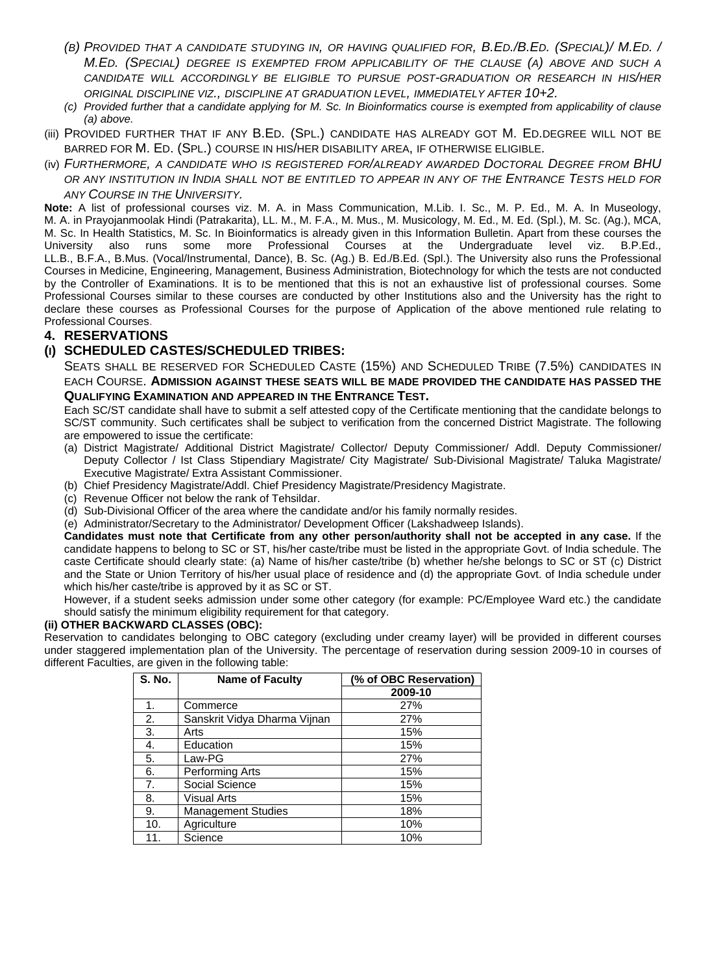- *(B) PROVIDED THAT A CANDIDATE STUDYING IN, OR HAVING QUALIFIED FOR, B.ED./B.ED. (SPECIAL)/ M.ED. / M.ED. (SPECIAL) DEGREE IS EXEMPTED FROM APPLICABILITY OF THE CLAUSE (A) ABOVE AND SUCH A CANDIDATE WILL ACCORDINGLY BE ELIGIBLE TO PURSUE POST-GRADUATION OR RESEARCH IN HIS/HER ORIGINAL DISCIPLINE VIZ., DISCIPLINE AT GRADUATION LEVEL, IMMEDIATELY AFTER 10+2.*
- *(c) Provided further that a candidate applying for M. Sc. In Bioinformatics course is exempted from applicability of clause (a) above.*
- (iii) PROVIDED FURTHER THAT IF ANY B.ED. (SPL.) CANDIDATE HAS ALREADY GOT M. ED.DEGREE WILL NOT BE BARRED FOR M. ED. (SPL.) COURSE IN HIS/HER DISABILITY AREA, IF OTHERWISE ELIGIBLE.
- (iv) *FURTHERMORE, A CANDIDATE WHO IS REGISTERED FOR/ALREADY AWARDED DOCTORAL DEGREE FROM BHU OR ANY INSTITUTION IN INDIA SHALL NOT BE ENTITLED TO APPEAR IN ANY OF THE ENTRANCE TESTS HELD FOR ANY COURSE IN THE UNIVERSITY.*

**Note:** A list of professional courses viz. M. A. in Mass Communication, M.Lib. I. Sc., M. P. Ed., M. A. In Museology, M. A. in Prayojanmoolak Hindi (Patrakarita), LL. M., M. F.A., M. Mus., M. Musicology, M. Ed., M. Ed. (Spl.), M. Sc. (Ag.), MCA, M. Sc. In Health Statistics, M. Sc. In Bioinformatics is already given in this Information Bulletin. Apart from these courses the University also runs some more Professional Courses at the Undergraduate level viz. B.P.Ed., LL.B., B.F.A., B.Mus. (Vocal/Instrumental, Dance), B. Sc. (Ag.) B. Ed./B.Ed. (Spl.). The University also runs the Professional Courses in Medicine, Engineering, Management, Business Administration, Biotechnology for which the tests are not conducted by the Controller of Examinations. It is to be mentioned that this is not an exhaustive list of professional courses. Some Professional Courses similar to these courses are conducted by other Institutions also and the University has the right to declare these courses as Professional Courses for the purpose of Application of the above mentioned rule relating to Professional Courses.

#### **4. RESERVATIONS**

#### **(I) SCHEDULED CASTES/SCHEDULED TRIBES:**

SEATS SHALL BE RESERVED FOR SCHEDULED CASTE (15%) AND SCHEDULED TRIBE (7.5%) CANDIDATES IN EACH COURSE. **ADMISSION AGAINST THESE SEATS WILL BE MADE PROVIDED THE CANDIDATE HAS PASSED THE QUALIFYING EXAMINATION AND APPEARED IN THE ENTRANCE TEST.**

Each SC/ST candidate shall have to submit a self attested copy of the Certificate mentioning that the candidate belongs to SC/ST community. Such certificates shall be subject to verification from the concerned District Magistrate. The following are empowered to issue the certificate:

- (a) District Magistrate/ Additional District Magistrate/ Collector/ Deputy Commissioner/ Addl. Deputy Commissioner/ Deputy Collector / Ist Class Stipendiary Magistrate/ City Magistrate/ Sub-Divisional Magistrate/ Taluka Magistrate/ Executive Magistrate/ Extra Assistant Commissioner.
- (b) Chief Presidency Magistrate/Addl. Chief Presidency Magistrate/Presidency Magistrate.
- (c) Revenue Officer not below the rank of Tehsildar.
- (d) Sub-Divisional Officer of the area where the candidate and/or his family normally resides.
- (e) Administrator/Secretary to the Administrator/ Development Officer (Lakshadweep Islands).

 **Candidates must note that Certificate from any other person/authority shall not be accepted in any case.** If the candidate happens to belong to SC or ST, his/her caste/tribe must be listed in the appropriate Govt. of India schedule. The caste Certificate should clearly state: (a) Name of his/her caste/tribe (b) whether he/she belongs to SC or ST (c) District and the State or Union Territory of his/her usual place of residence and (d) the appropriate Govt. of India schedule under which his/her caste/tribe is approved by it as SC or ST.

However, if a student seeks admission under some other category (for example: PC/Employee Ward etc.) the candidate should satisfy the minimum eligibility requirement for that category.

#### **(ii) OTHER BACKWARD CLASSES (OBC):**

Reservation to candidates belonging to OBC category (excluding under creamy layer) will be provided in different courses under staggered implementation plan of the University. The percentage of reservation during session 2009-10 in courses of different Faculties, are given in the following table:

| <b>S. No.</b> | <b>Name of Faculty</b>       | (% of OBC Reservation) |
|---------------|------------------------------|------------------------|
|               |                              | 2009-10                |
| 1.            | Commerce                     | 27%                    |
| 2.            | Sanskrit Vidya Dharma Vijnan | 27%                    |
| 3.            | Arts                         | 15%                    |
| 4.            | Education                    | 15%                    |
| 5.            | Law-PG                       | 27%                    |
| 6.            | Performing Arts              | 15%                    |
| 7.            | Social Science               | 15%                    |
| 8.            | Visual Arts                  | 15%                    |
| 9.            | <b>Management Studies</b>    | 18%                    |
| 10.           | Agriculture                  | 10%                    |
| 11.           | Science                      | 10%                    |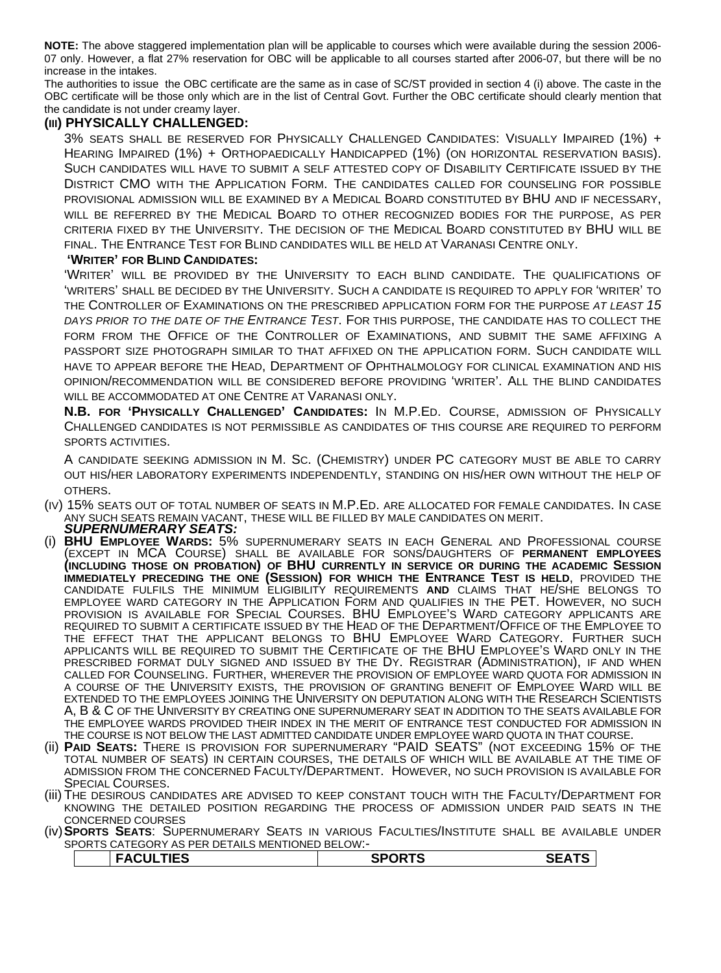**NOTE:** The above staggered implementation plan will be applicable to courses which were available during the session 2006- 07 only. However, a flat 27% reservation for OBC will be applicable to all courses started after 2006-07, but there will be no increase in the intakes.

The authorities to issue the OBC certificate are the same as in case of SC/ST provided in section 4 (i) above. The caste in the OBC certificate will be those only which are in the list of Central Govt. Further the OBC certificate should clearly mention that the candidate is not under creamy layer.

#### **(III) PHYSICALLY CHALLENGED:**

3% SEATS SHALL BE RESERVED FOR PHYSICALLY CHALLENGED CANDIDATES: VISUALLY IMPAIRED (1%) + HEARING IMPAIRED (1%) + ORTHOPAEDICALLY HANDICAPPED (1%) (ON HORIZONTAL RESERVATION BASIS). SUCH CANDIDATES WILL HAVE TO SUBMIT A SELF ATTESTED COPY OF DISABILITY CERTIFICATE ISSUED BY THE DISTRICT CMO WITH THE APPLICATION FORM. THE CANDIDATES CALLED FOR COUNSELING FOR POSSIBLE PROVISIONAL ADMISSION WILL BE EXAMINED BY A MEDICAL BOARD CONSTITUTED BY BHU AND IF NECESSARY, WILL BE REFERRED BY THE MEDICAL BOARD TO OTHER RECOGNIZED BODIES FOR THE PURPOSE, AS PER CRITERIA FIXED BY THE UNIVERSITY. THE DECISION OF THE MEDICAL BOARD CONSTITUTED BY BHU WILL BE FINAL. THE ENTRANCE TEST FOR BLIND CANDIDATES WILL BE HELD AT VARANASI CENTRE ONLY.

#### **'WRITER' FOR BLIND CANDIDATES:**

'WRITER' WILL BE PROVIDED BY THE UNIVERSITY TO EACH BLIND CANDIDATE. THE QUALIFICATIONS OF 'WRITERS' SHALL BE DECIDED BY THE UNIVERSITY. SUCH A CANDIDATE IS REQUIRED TO APPLY FOR 'WRITER' TO THE CONTROLLER OF EXAMINATIONS ON THE PRESCRIBED APPLICATION FORM FOR THE PURPOSE *AT LEAST 15 DAYS PRIOR TO THE DATE OF THE ENTRANCE TEST*. FOR THIS PURPOSE, THE CANDIDATE HAS TO COLLECT THE FORM FROM THE OFFICE OF THE CONTROLLER OF EXAMINATIONS, AND SUBMIT THE SAME AFFIXING A PASSPORT SIZE PHOTOGRAPH SIMILAR TO THAT AFFIXED ON THE APPLICATION FORM. SUCH CANDIDATE WILL HAVE TO APPEAR BEFORE THE HEAD, DEPARTMENT OF OPHTHALMOLOGY FOR CLINICAL EXAMINATION AND HIS OPINION/RECOMMENDATION WILL BE CONSIDERED BEFORE PROVIDING 'WRITER'. ALL THE BLIND CANDIDATES WILL BE ACCOMMODATED AT ONE CENTRE AT VARANASI ONLY.

**N.B. FOR 'PHYSICALLY CHALLENGED' CANDIDATES:** IN M.P.ED. COURSE, ADMISSION OF PHYSICALLY CHALLENGED CANDIDATES IS NOT PERMISSIBLE AS CANDIDATES OF THIS COURSE ARE REQUIRED TO PERFORM SPORTS ACTIVITIES.

A CANDIDATE SEEKING ADMISSION IN M. SC. (CHEMISTRY) UNDER PC CATEGORY MUST BE ABLE TO CARRY OUT HIS/HER LABORATORY EXPERIMENTS INDEPENDENTLY, STANDING ON HIS/HER OWN WITHOUT THE HELP OF OTHERS.

- (IV) 15% SEATS OUT OF TOTAL NUMBER OF SEATS IN M.P.ED. ARE ALLOCATED FOR FEMALE CANDIDATES. IN CASE ANY SUCH SEATS REMAIN VACANT, THESE WILL BE FILLED BY MALE CANDIDATES ON MERIT. *SUPERNUMERARY SEATS:*
- (i) **BHU EMPLOYEE WARDS:** 5% SUPERNUMERARY SEATS IN EACH GENERAL AND PROFESSIONAL COURSE (EXCEPT IN MCA COURSE) SHALL BE AVAILABLE FOR SONS/DAUGHTERS OF **PERMANENT EMPLOYEES (INCLUDING THOSE ON PROBATION) OF BHU CURRENTLY IN SERVICE OR DURING THE ACADEMIC SESSION IMMEDIATELY PRECEDING THE ONE (SESSION) FOR WHICH THE ENTRANCE TEST IS HELD**, PROVIDED THE CANDIDATE FULFILS THE MINIMUM ELIGIBILITY REQUIREMENTS **AND** CLAIMS THAT HE/SHE BELONGS TO EMPLOYEE WARD CATEGORY IN THE APPLICATION FORM AND QUALIFIES IN THE PET. HOWEVER, NO SUCH PROVISION IS AVAILABLE FOR SPECIAL COURSES. BHU EMPLOYEE'S WARD CATEGORY APPLICANTS ARE REQUIRED TO SUBMIT A CERTIFICATE ISSUED BY THE HEAD OF THE DEPARTMENT/OFFICE OF THE EMPLOYEE TO THE EFFECT THAT THE APPLICANT BELONGS TO BHU EMPLOYEE WARD CATEGORY. FURTHER SUCH APPLICANTS WILL BE REQUIRED TO SUBMIT THE CERTIFICATE OF THE BHU EMPLOYEE'S WARD ONLY IN THE PRESCRIBED FORMAT DULY SIGNED AND ISSUED BY THE DY. REGISTRAR (ADMINISTRATION), IF AND WHEN CALLED FOR COUNSELING. FURTHER, WHEREVER THE PROVISION OF EMPLOYEE WARD QUOTA FOR ADMISSION IN A COURSE OF THE UNIVERSITY EXISTS, THE PROVISION OF GRANTING BENEFIT OF EMPLOYEE WARD WILL BE EXTENDED TO THE EMPLOYEES JOINING THE UNIVERSITY ON DEPUTATION ALONG WITH THE RESEARCH SCIENTISTS A, B & C OF THE UNIVERSITY BY CREATING ONE SUPERNUMERARY SEAT IN ADDITION TO THE SEATS AVAILABLE FOR THE EMPLOYEE WARDS PROVIDED THEIR INDEX IN THE MERIT OF ENTRANCE TEST CONDUCTED FOR ADMISSION IN
- THE COURSE IS NOT BELOW THE LAST ADMITTED CANDIDATE UNDER EMPLOYEE WARD QUOTA IN THAT COURSE. (ii) **PAID SEATS:** THERE IS PROVISION FOR SUPERNUMERARY "PAID SEATS" (NOT EXCEEDING 15% OF THE TOTAL NUMBER OF SEATS) IN CERTAIN COURSES, THE DETAILS OF WHICH WILL BE AVAILABLE AT THE TIME OF ADMISSION FROM THE CONCERNED FACULTY/DEPARTMENT. HOWEVER, NO SUCH PROVISION IS AVAILABLE FOR<br>SPECIAL COURSES.
- (iii) THE DESIROUS CANDIDATES ARE ADVISED TO KEEP CONSTANT TOUCH WITH THE FACULTY/DEPARTMENT FOR KNOWING THE DETAILED POSITION REGARDING THE PROCESS OF ADMISSION UNDER PAID SEATS IN THE CONCERNED COURSES
- (iv) **SPORTS SEATS**: SUPERNUMERARY SEATS IN VARIOUS FACULTIES/INSTITUTE SHALL BE AVAILABLE UNDER SPORTS CATEGORY AS PER DETAILS MENTIONED BELOW:-

| <b>FACULTIES</b><br>▁▗▃ <sub>▀</sub> ▄▄▐▐▙ <del></del> ᇦ | <b>AARTA</b><br>וכ | .<br>3C |
|----------------------------------------------------------|--------------------|---------|
|                                                          |                    |         |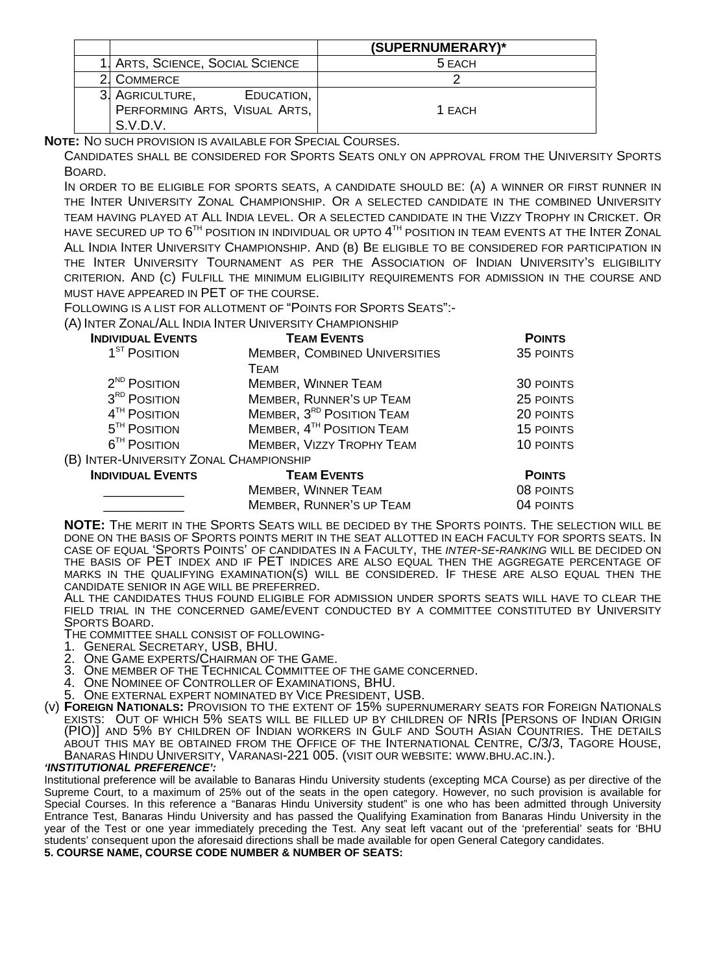|                                  | (SUPERNUMERARY)* |
|----------------------------------|------------------|
| 1. ARTS, SCIENCE, SOCIAL SCIENCE | 5 EACH           |
| <b>COMMERCE</b>                  |                  |
| 3. AGRICULTURE,<br>EDUCATION,    |                  |
| PERFORMING ARTS, VISUAL ARTS,    | 1 EACH           |
| S.V.D.V.                         |                  |

**NOTE:** NO SUCH PROVISION IS AVAILABLE FOR SPECIAL COURSES.

CANDIDATES SHALL BE CONSIDERED FOR SPORTS SEATS ONLY ON APPROVAL FROM THE UNIVERSITY SPORTS BOARD.

IN ORDER TO BE ELIGIBLE FOR SPORTS SEATS, A CANDIDATE SHOULD BE: (A) A WINNER OR FIRST RUNNER IN THE INTER UNIVERSITY ZONAL CHAMPIONSHIP. OR A SELECTED CANDIDATE IN THE COMBINED UNIVERSITY TEAM HAVING PLAYED AT ALL INDIA LEVEL. OR A SELECTED CANDIDATE IN THE VIZZY TROPHY IN CRICKET. OR HAVE SECURED UP TO  $6^{TH}$  position in individual or upto  $4^{TH}$  position in Team events at the Inter Zonal ALL INDIA INTER UNIVERSITY CHAMPIONSHIP. AND (B) BE ELIGIBLE TO BE CONSIDERED FOR PARTICIPATION IN THE INTER UNIVERSITY TOURNAMENT AS PER THE ASSOCIATION OF INDIAN UNIVERSITY'S ELIGIBILITY CRITERION. AND (C) FULFILL THE MINIMUM ELIGIBILITY REQUIREMENTS FOR ADMISSION IN THE COURSE AND MUST HAVE APPEARED IN PET OF THE COURSE.

FOLLOWING IS A LIST FOR ALLOTMENT OF "POINTS FOR SPORTS SEATS":-

(A) INTER ZONAL/ALL INDIA INTER UNIVERSITY CHAMPIONSHIP

| <b>INDIVIDUAL EVENTS</b>                | <b>TEAM EVENTS</b>                    | <b>POINTS</b>    |
|-----------------------------------------|---------------------------------------|------------------|
| 1 <sup>ST</sup> POSITION                | MEMBER, COMBINED UNIVERSITIES         | 35 POINTS        |
|                                         | <b>TEAM</b>                           |                  |
| 2 <sup>ND</sup> POSITION                | <b>MEMBER, WINNER TEAM</b>            | <b>30 POINTS</b> |
| 3 <sup>RD</sup> POSITION                | <b>MEMBER, RUNNER'S UP TEAM</b>       | 25 POINTS        |
| 4 <sup>TH</sup> POSITION                | MEMBER, 3 <sup>RD</sup> POSITION TEAM | 20 POINTS        |
| $5TH$ POSITION                          | MEMBER, 4 <sup>TH</sup> POSITION TEAM | 15 POINTS        |
| 6 <sup>TH</sup> POSITION                | <b>MEMBER, VIZZY TROPHY TEAM</b>      | 10 POINTS        |
| (B) INTER-UNIVERSITY ZONAL CHAMPIONSHIP |                                       |                  |
| <b>INDIVIDUAL EVENTS</b>                | <b>TEAM EVENTS</b>                    | <b>POINTS</b>    |
|                                         | <b>MEMBER, WINNER TEAM</b>            | 08 POINTS        |
|                                         | <b>MEMBER, RUNNER'S UP TEAM</b>       | 04 POINTS        |

**NOTE:** THE MERIT IN THE SPORTS SEATS WILL BE DECIDED BY THE SPORTS POINTS. THE SELECTION WILL BE DONE ON THE BASIS OF SPORTS POINTS MERIT IN THE SEAT ALLOTTED IN EACH FACULTY FOR SPORTS SEATS. IN CASE OF EQUAL 'SPORTS POINTS' OF CANDIDATES IN A FACULTY, THE *INTER-SE-RANKING* WILL BE DECIDED ON THE BASIS OF PET INDEX AND IF PET INDICES ARE ALSO EQUAL THEN THE AGGREGATE PERCENTAGE OF MARKS IN THE QUALIFYING EXAMINATION(S) WILL BE CONSIDERED. IF THESE ARE ALSO EQUAL THEN THE

CANDIDATE SENIOR IN AGE WILL BE PREFERRED.<br>ALL THE CANDIDATES THUS FOUND ELIGIBLE FOR ADMISSION UNDER SPORTS SEATS WILL HAVE TO CLEAR THE FIELD TRIAL IN THE CONCERNED GAME/EVENT CONDUCTED BY A COMMITTEE CONSTITUTED BY UNIVERSITY SPORTS BOARD.

THE COMMITTEE SHALL CONSIST OF FOLLOWING-<br>1. GENERAL SECRETARY, USB, BHU.<br>2. ONE GAME EXPERTS/CHAIRMAN OF THE GAME.

- 
- 
- 3. ONE MEMBER OF THE TECHNICAL COMMITTEE OF THE GAME CONCERNED.<br>4. ONE NOMINEE OF CONTROLLER OF EXAMINATIONS, BHU.
- 
- 5. ONE EXTERNAL EXPERT NOMINATED BY VICE PRESIDENT, USB.
- (v) **FOREIGN NATIONALS:** PROVISION TO THE EXTENT OF 15% SUPERNUMERARY SEATS FOR FOREIGN NATIONALS EXISTS: OUT OF WHICH 5% SEATS WILL BE FILLED UP BY CHILDREN OF NRIS [PERSONS OF INDIAN ORIGIN (PIO)] AND 5% BY CHILDREN OF INDIAN WORKERS IN GULF AND SOUTH ASIAN COUNTRIES. THE DETAILS ÀBOUT THIS MAY BE OBTAINED FROM THE OFFICE OF THE INTERNATIO[NAL CENTRE, C/3](http://www.bhu.ac.in/)/3, TAGORE HOUSE,<br>Banaras Hindu University, Varanasi-221 005. (visit our website: www.bhu.ac.in.).

#### *'INSTITUTIONAL PREFERENCE':*

Institutional preference will be available to Banaras Hindu University students (excepting MCA Course) as per directive of the Supreme Court, to a maximum of 25% out of the seats in the open category. However, no such provision is available for Special Courses. In this reference a "Banaras Hindu University student" is one who has been admitted through University Entrance Test, Banaras Hindu University and has passed the Qualifying Examination from Banaras Hindu University in the year of the Test or one year immediately preceding the Test. Any seat left vacant out of the 'preferential' seats for 'BHU students' consequent upon the aforesaid directions shall be made available for open General Category candidates. **5. COURSE NAME, COURSE CODE NUMBER & NUMBER OF SEATS:**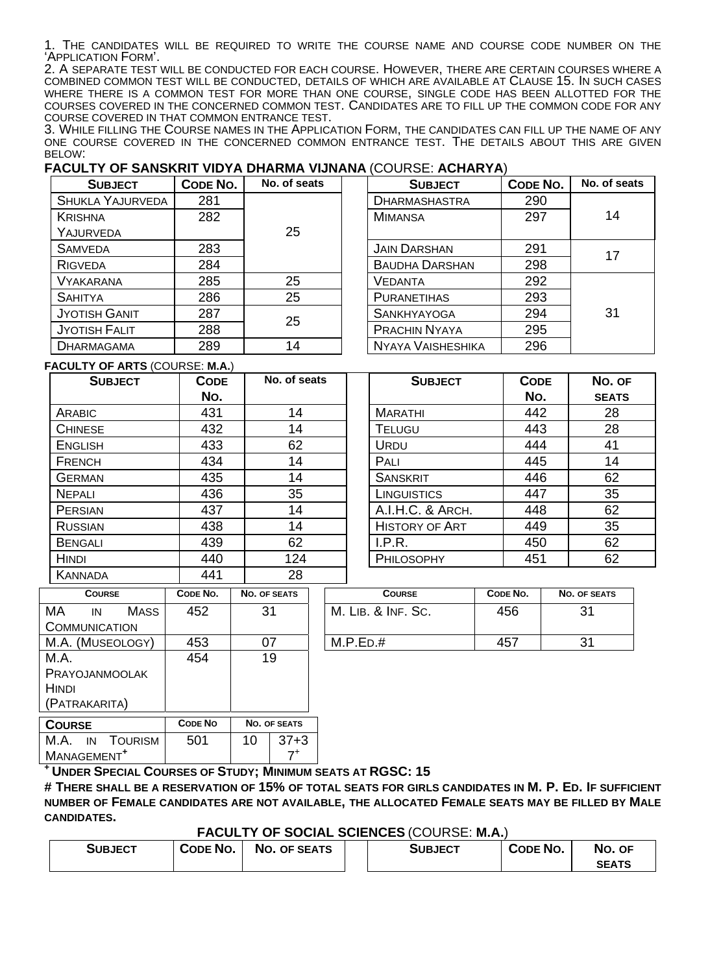1. THE CANDIDATES WILL BE REQUIRED TO WRITE THE COURSE NAME AND COURSE CODE NUMBER ON THE 'APPLICATION FORM'.

2. A SEPARATE TEST WILL BE CONDUCTED FOR EACH COURSE. HOWEVER, THERE ARE CERTAIN COURSES WHERE A COMBINED COMMON TEST WILL BE CONDUCTED, DETAILS OF WHICH ARE AVAILABLE AT CLAUSE 15. IN SUCH CASES WHERE THERE IS A COMMON TEST FOR MORE THAN ONE COURSE, SINGLE CODE HAS BEEN ALLOTTED FOR THE COURSES COVERED IN THE CONCERNED COMMON TEST. CANDIDATES ARE TO FILL UP THE COMMON CODE FOR ANY

3. WHILE FILLING THE COURSE NAMES IN THE APPLICATION FORM, THE CANDIDATES CAN FILL UP THE NAME OF ANY ONE COURSE COVERED IN THE CONCERNED COMMON ENTRANCE TEST. THE DETAILS ABOUT THIS ARE GIVEN BELOW:

#### **FACULTY OF SANSKRIT VIDYA DHARMA VIJNANA** (COURSE: **ACHARYA**)

| <b>SUBJECT</b>          | CODE NO. | No. of seats | <b>SUBJECT</b>           | CODE NO. | No. of seats |
|-------------------------|----------|--------------|--------------------------|----------|--------------|
| <b>SHUKLA YAJURVEDA</b> | 281      |              | <b>DHARMASHASTRA</b>     | 290      |              |
| <b>KRISHNA</b>          | 282      |              | <b>MIMANSA</b>           | 297      | 14           |
| YAJURVEDA               |          | 25           |                          |          |              |
| <b>SAMVEDA</b>          | 283      |              | <b>JAIN DARSHAN</b>      | 291      | 17           |
| <b>RIGVEDA</b>          | 284      |              | <b>BAUDHA DARSHAN</b>    | 298      |              |
| <b>VYAKARANA</b>        | 285      | 25           | <b>VEDANTA</b>           | 292      |              |
| <b>SAHITYA</b>          | 286      | 25           | <b>PURANETIHAS</b>       | 293      |              |
| <b>JYOTISH GANIT</b>    | 287      | 25           | <b>SANKHYAYOGA</b>       | 294      | 31           |
| <b>JYOTISH FALIT</b>    | 288      |              | <b>PRACHIN NYAYA</b>     | 295      |              |
| <b>DHARMAGAMA</b>       | 289      | 14           | <b>NYAYA VAISHESHIKA</b> | 296      |              |

**FACULTY OF ARTS** (COURSE: **M.A.**)

| <b>SUBJECT</b> | <b>CODE</b><br>No. | No. of seats | <b>SUBJECT</b>        | <b>CODE</b><br>No. | No. c<br><b>SEAT</b> |
|----------------|--------------------|--------------|-----------------------|--------------------|----------------------|
| <b>ARABIC</b>  | 431                | 14           | <b>MARATHI</b>        | 442                | 28                   |
| <b>CHINESE</b> | 432                | 14           | <b>TELUGU</b>         | 443                | 28                   |
| <b>ENGLISH</b> | 433                | 62           | <b>URDU</b>           | 444                | 41                   |
| FRENCH         | 434                | 14           | PALI                  | 445                | 14                   |
| <b>GERMAN</b>  | 435                | 14           | <b>SANSKRIT</b>       | 446                | 62                   |
| <b>NEPALI</b>  | 436                | 35           | LINGUISTICS           | 447                | 35                   |
| PERSIAN        | 437                | 14           | A.I.H.C. & ARCH.      | 448                | 62                   |
| <b>RUSSIAN</b> | 438                | 14           | <b>HISTORY OF ART</b> | 449                | 35                   |
| <b>BENGALI</b> | 439                | 62           | I.P.R.                | 450                | 62                   |
| <b>HINDI</b>   | 440                | 124          | PHILOSOPHY            | 451                | 62                   |
| <b>KANNADA</b> | 441                | 28           |                       |                    |                      |

| No. of seats | <b>SUBJECT</b>        | <b>CODE</b> | No. OF       |
|--------------|-----------------------|-------------|--------------|
|              |                       | No.         | <b>SEATS</b> |
| 14           | <b>MARATHI</b>        | 442         | 28           |
| 14           | <b>TELUGU</b>         | 443         | 28           |
| 62           | URDU                  | 444         | 41           |
| 14           | PALI                  | 445         | 14           |
| 14           | <b>SANSKRIT</b>       | 446         | 62           |
| 35           | LINGUISTICS           | 447         | 35           |
| 14           | A.I.H.C. & ARCH.      | 448         | 62           |
| 14           | <b>HISTORY OF ART</b> | 449         | 35           |
| 62           | I.P.R.                | 450         | 62           |
| 124          | PHILOSOPHY            | 451         | 62           |

| <b>COURSE</b>           | CODE NO.       | NO. OF SEATS | <b>COURSE</b>      | CODE NO. | NO. OF SEATS |
|-------------------------|----------------|--------------|--------------------|----------|--------------|
| MA<br><b>MASS</b><br>IN | 452            | 31           | M. LIB. & INF. SC. | 456      | 31           |
| <b>COMMUNICATION</b>    |                |              |                    |          |              |
| M.A. (MUSEOLOGY)        | 453            | 07           | M.P.ED.#           | 457      | 31           |
| M.A.                    | 454            | 19           |                    |          |              |
| PRAYOJANMOOLAK          |                |              |                    |          |              |
| <b>HINDI</b>            |                |              |                    |          |              |
| (PATRAKARITA)           |                |              |                    |          |              |
| <b>COURSE</b>           | <b>CODE NO</b> | NO. OF SEATS |                    |          |              |

| <b>COURSE</b>                                           | <b>CODE NO</b> |    | <b>NO. OF SEATS</b> |
|---------------------------------------------------------|----------------|----|---------------------|
| M.A.<br><b>TOURISM</b><br>IN<br>MANAGEMENT <sup>+</sup> | 501            | 10 | $37 + 3$            |
|                                                         |                |    |                     |

**+ UNDER SPECIAL COURSES OF STUDY; MINIMUM SEATS AT RGSC: 15** 

**# THERE SHALL BE A RESERVATION OF 15% OF TOTAL SEATS FOR GIRLS CANDIDATES IN M. P. ED. IF SUFFICIENT NUMBER OF FEMALE CANDIDATES ARE NOT AVAILABLE, THE ALLOCATED FEMALE SEATS MAY BE FILLED BY MALE CANDIDATES.** 

**FACULTY OF SOCIAL SCIENCES** (COURSE: **M.A.**)

|                |          |                     | .       |          |              |
|----------------|----------|---------------------|---------|----------|--------------|
| <b>SUBJECT</b> | CODE NO. | <b>NO. OF SEATS</b> | Subject | CODE NO. | No. OF       |
|                |          |                     |         |          | <b>SEATS</b> |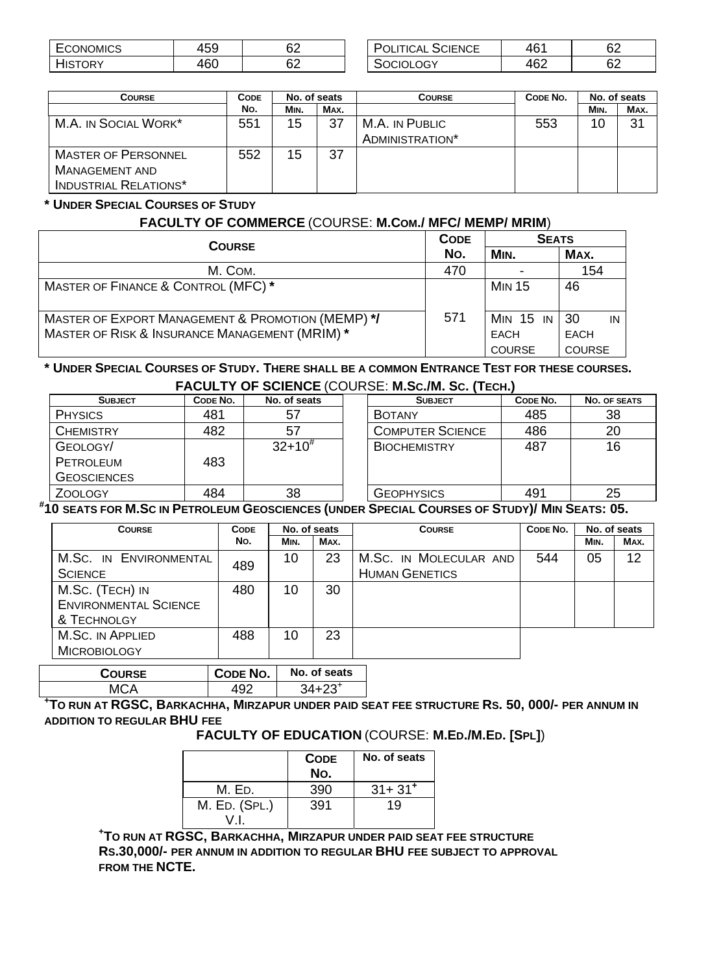| -<br><b>CONOMICS</b><br>$\cdot$ . | $ \sim$<br>⊦ບບ | c0<br>◡▵ | -<br><b>SCIENCE</b><br>'TICAL<br>,, | $\sim$<br>461 | rn.<br>୰∠ |
|-----------------------------------|----------------|----------|-------------------------------------|---------------|-----------|
| )R`                               | $\sim$<br>40C  | ഹ<br>◡▵  | LOGY                                | 462           | r n<br>୰∠ |

| <b>POLITICAL SCIENCE</b> | ∩∩ |
|--------------------------|----|
| SOCIOLOGY                |    |

| <b>COURSE</b>                                                                       | <b>CODE</b> | No. of seats |      | <b>COURSE</b>                     | CODE NO. | No. of seats |      |
|-------------------------------------------------------------------------------------|-------------|--------------|------|-----------------------------------|----------|--------------|------|
|                                                                                     | No.         | MIN.         | MAX. |                                   |          | MIN.         | MAX. |
| M.A. IN SOCIAL WORK*                                                                | 551         | 15           | 37   | M.A. IN PUBLIC<br>ADMINISTRATION* | 553      | 10           | 31   |
| <b>MASTER OF PERSONNEL</b><br><b>MANAGEMENT AND</b><br><b>INDUSTRIAL RELATIONS*</b> | 552         | 15           | 37   |                                   |          |              |      |

#### **\* UNDER SPECIAL COURSES OF STUDY**

#### **FACULTY OF COMMERCE** (COURSE: **M.COM./ MFC/ MEMP/ MRIM**)

| <b>COURSE</b>                                                                                                  | <b>CODE</b> | <b>SEATS</b>                              |                                          |  |  |
|----------------------------------------------------------------------------------------------------------------|-------------|-------------------------------------------|------------------------------------------|--|--|
|                                                                                                                | No.         | MIN.                                      | MAX.                                     |  |  |
| M. COM.                                                                                                        | 470         |                                           | 154                                      |  |  |
| MASTER OF FINANCE & CONTROL (MFC)*                                                                             |             | <b>MIN 15</b>                             | 46                                       |  |  |
| <b>MASTER OF EXPORT MANAGEMENT &amp; PROMOTION (MEMP) */</b><br>MASTER OF RISK & INSURANCE MANAGEMENT (MRIM) * | 571         | <b>MIN 15 IN</b><br>EACH<br><b>COURSE</b> | 30<br>IN<br><b>EACH</b><br><b>COURSE</b> |  |  |

#### **\* UNDER SPECIAL COURSES OF STUDY. THERE SHALL BE A COMMON ENTRANCE TEST FOR THESE COURSES. FACULTY OF SCIENCE** (COURSE: **M.SC./M. SC. (TECH.)**

| ───────────────────────────────── |          |              |  |                         |          |              |  |  |
|-----------------------------------|----------|--------------|--|-------------------------|----------|--------------|--|--|
| <b>SUBJECT</b>                    | CODE NO. | No. of seats |  | <b>SUBJECT</b>          | CODE NO. | NO. OF SEATS |  |  |
| <b>PHYSICS</b>                    | 481      | 57           |  | <b>BOTANY</b>           | 485      | 38           |  |  |
| <b>CHEMISTRY</b>                  | 482      | 57           |  | <b>COMPUTER SCIENCE</b> | 486      | 20           |  |  |
| GEOLOGY/                          |          | $32+10^{#}$  |  | <b>BIOCHEMISTRY</b>     | 487      | 16           |  |  |
| PETROLEUM                         | 483      |              |  |                         |          |              |  |  |
| <b>GEOSCIENCES</b>                |          |              |  |                         |          |              |  |  |
| <b>ZOOLOGY</b>                    | 484      | 38           |  | <b>GEOPHYSICS</b>       | 491      | 25           |  |  |
|                                   |          |              |  |                         |          |              |  |  |

**# 10 SEATS FOR M.SC IN PETROLEUM GEOSCIENCES (UNDER SPECIAL COURSES OF STUDY)/ MIN SEATS: 05.** 

| <b>COURSE</b>                | <b>CODE</b> | No. of seats |      | <b>COURSE</b>          | CODE NO. | No. of seats |      |
|------------------------------|-------------|--------------|------|------------------------|----------|--------------|------|
|                              | No.         | MIN.         | MAX. |                        |          | MIN.         | MAX. |
| M.SC. IN ENVIRONMENTAL       |             | 10           | 23   | M.SC. IN MOLECULAR AND | 544      | 05           | 12   |
| <b>SCIENCE</b>               | 489         |              |      | <b>HUMAN GENETICS</b>  |          |              |      |
| M.Sc. (TECH) IN              | 480         | 10           | 30   |                        |          |              |      |
| <b>ENVIRONMENTAL SCIENCE</b> |             |              |      |                        |          |              |      |
| & TECHNOLGY                  |             |              |      |                        |          |              |      |
| M.Sc. IN APPLIED             | 488         | 10           | 23   |                        |          |              |      |
| <b>MICROBIOLOGY</b>          |             |              |      |                        |          |              |      |

| <b>COURSE</b> | CODE NO. | No. of seats |  |
|---------------|----------|--------------|--|
| ллс           |          |              |  |

**+ TO RUN AT RGSC, BARKACHHA, MIRZAPUR UNDER PAID SEAT FEE STRUCTURE RS. 50, 000/- PER ANNUM IN ADDITION TO REGULAR BHU FEE** 

 **FACULTY OF EDUCATION** (COURSE: **M.ED./M.ED. [SPL]**)

|               | <b>CODE</b><br>No. | No. of seats |
|---------------|--------------------|--------------|
| M. En.        | 390                | $31 + 31^+$  |
| M. ED. (SPL.) | 391                | 19           |

**+ TO RUN AT RGSC, BARKACHHA, MIRZAPUR UNDER PAID SEAT FEE STRUCTURE RS.30,000/- PER ANNUM IN ADDITION TO REGULAR BHU FEE SUBJECT TO APPROVAL FROM THE NCTE.**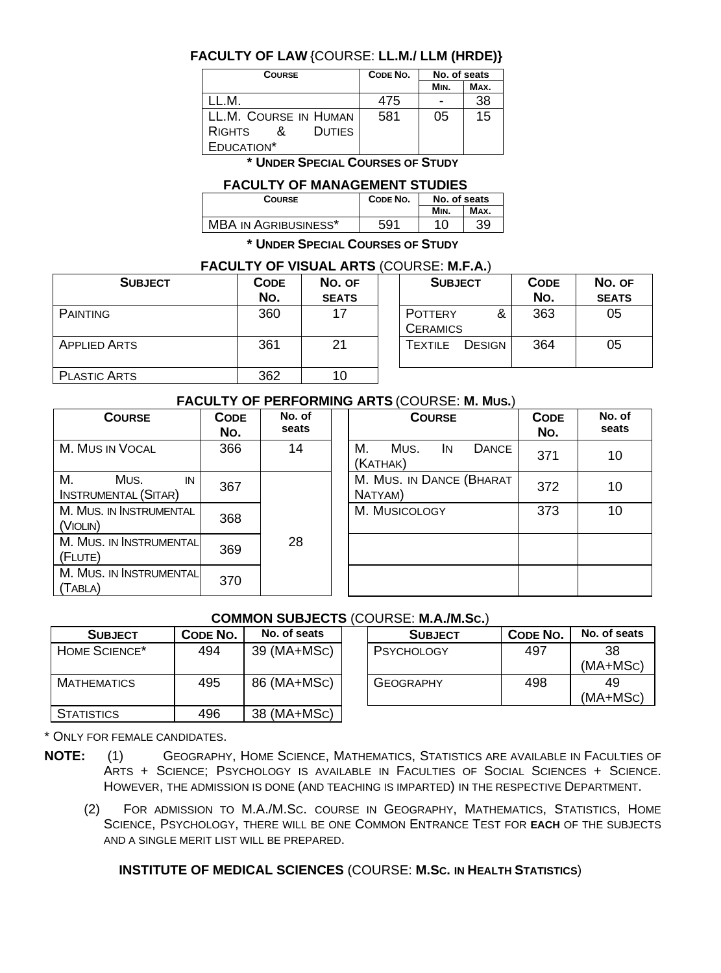#### **FACULTY OF LAW** {COURSE: **LL.M./ LLM (HRDE)}**

| <b>COURSE</b>                  | CODE NO. | No. of seats |      |
|--------------------------------|----------|--------------|------|
|                                |          | MIN.         | MAX. |
| IM.                            | 475      |              | 38   |
| LL.M. COURSE IN HUMAN          | 581      | 05           | 15   |
| <b>DUTIES</b><br><b>RIGHTS</b> |          |              |      |
| EDUCATION*                     |          |              |      |

**\* UNDER SPECIAL COURSES OF STUDY**

#### **FACULTY OF MANAGEMENT STUDIES**

| Mın. | MAX. |
|------|------|
|      | 39   |
|      |      |

**\* UNDER SPECIAL COURSES OF STUDY**

#### **FACULTY OF VISUAL ARTS** (COURSE: **M.F.A.**)

| <b>SUBJECT</b>      | <b>CODE</b><br>No. | No. OF<br><b>SEATS</b> | <b>SUBJECT</b>                         | <b>CODE</b><br>No. | No. OF<br><b>SEATS</b> |
|---------------------|--------------------|------------------------|----------------------------------------|--------------------|------------------------|
| <b>PAINTING</b>     | 360                | 17                     | &<br><b>POTTERY</b><br><b>CERAMICS</b> | 363                | 05                     |
| <b>APPLIED ARTS</b> | 361                | 21                     | <b>DESIGN</b><br>TEXTILE               | 364                | 05                     |
| <b>PLASTIC ARTS</b> | 362                | 10                     |                                        |                    |                        |

#### **FACULTY OF PERFORMING ARTS** (COURSE: **M. MUS.**)

| <b>COURSE</b>                                   | <b>CODE</b><br>No. | No. of<br>seats | <b>COURSE</b>                                 | <b>CODE</b><br>No. | No. of<br>seats |
|-------------------------------------------------|--------------------|-----------------|-----------------------------------------------|--------------------|-----------------|
| M. MUS IN VOCAL                                 | 366                | 14              | М.<br>Mus.<br><b>DANCE</b><br>IN.<br>(KATHAK) | 371                | 10              |
| М.<br>Mus.<br>IN<br><b>INSTRUMENTAL (SITAR)</b> | 367                |                 | M. MUS. IN DANCE (BHARAT<br>NATYAM)           | 372                | 10              |
| M. MUS. IN INSTRUMENTAL<br>(VIOLIN)             | 368                |                 | M. MUSICOLOGY                                 | 373                | 10              |
| M. MUS. IN INSTRUMENTAL<br>(FLUTE)              | 369                | 28              |                                               |                    |                 |
| M. MUS. IN INSTRUMENTAL<br>(TABLA)              | 370                |                 |                                               |                    |                 |

#### **COMMON SUBJECTS** (COURSE: **M.A./M.SC.**)

| <b>SUBJECT</b>            | CODE NO. | No. of seats | <b>SUBJECT</b>    | <b>CODE NO.</b> | No. of s |
|---------------------------|----------|--------------|-------------------|-----------------|----------|
| HOME SCIENCE <sup>*</sup> | 494      | 39 (MA+MSC)  | <b>PSYCHOLOGY</b> | 497             | 38       |
|                           |          |              |                   |                 | $(MA+M)$ |
| MATHEMATICS               | 495      | 86 (MA+MSC)  | <b>GEOGRAPHY</b>  | 498             | 49       |
|                           |          |              |                   |                 | $(MA+M)$ |
| <b>STATISTICS</b>         | 496      | 38 (MA+MSC)  |                   |                 |          |

| <b>SUBJECT</b>  | CODE NO. | No. of seats |  | <b>SUBJECT</b>   | CODE NO. | No. of seats     |  |  |  |  |
|-----------------|----------|--------------|--|------------------|----------|------------------|--|--|--|--|
| <b>SCIENCE*</b> | 494      | 39 (MA+MSC)  |  | PSYCHOLOGY       | 497      | 38<br>$(MA+MSC)$ |  |  |  |  |
| <b>EMATICS</b>  | 495      | 86 (MA+MSC)  |  | <b>GEOGRAPHY</b> | 498      | 49<br>$(MA+MSC)$ |  |  |  |  |

\* ONLY FOR FEMALE CANDIDATES.

- **NOTE:** (1) GEOGRAPHY, HOME SCIENCE, MATHEMATICS, STATISTICS ARE AVAILABLE IN FACULTIES OF ARTS + SCIENCE; PSYCHOLOGY IS AVAILABLE IN FACULTIES OF SOCIAL SCIENCES + SCIENCE. HOWEVER, THE ADMISSION IS DONE (AND TEACHING IS IMPARTED) IN THE RESPECTIVE DEPARTMENT.
	- (2) FOR ADMISSION TO M.A./M.SC. COURSE IN GEOGRAPHY, MATHEMATICS, STATISTICS, HOME SCIENCE, PSYCHOLOGY, THERE WILL BE ONE COMMON ENTRANCE TEST FOR **EACH** OF THE SUBJECTS AND A SINGLE MERIT LIST WILL BE PREPARED.

#### **INSTITUTE OF MEDICAL SCIENCES** (COURSE: **M.SC. IN HEALTH STATISTICS**)